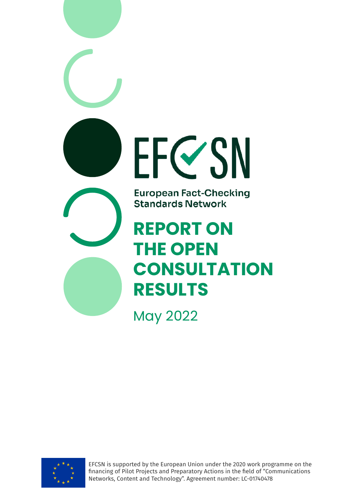



EFCSN is supported by the European Union under the 2020 work programme on the financing of Pilot Projects and Preparatory Actions in the field of "Communications Networks, Content and Technology". Agreement number: LC-01740478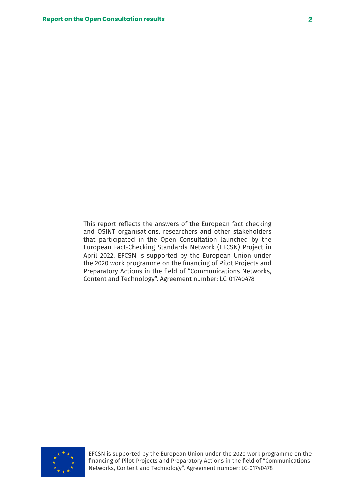This report reflects the answers of the European fact-checking and OSINT organisations, researchers and other stakeholders that participated in the Open Consultation launched by the European Fact-Checking Standards Network (EFCSN) Project in April 2022. EFCSN is supported by the European Union under the 2020 work programme on the financing of Pilot Projects and Preparatory Actions in the field of "Communications Networks, Content and Technology". Agreement number: LC-01740478



EFCSN is supported by the European Union under the 2020 work programme on the financing of Pilot Projects and Preparatory Actions in the field of "Communications Networks, Content and Technology". Agreement number: LC-01740478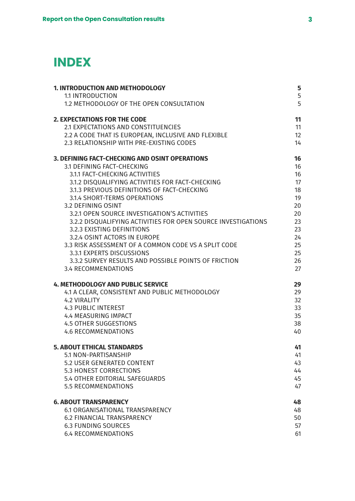# **INDEX**

| <b>1. INTRODUCTION AND METHODOLOGY</b>                        | 5  |
|---------------------------------------------------------------|----|
| <b>1.1 INTRODUCTION</b>                                       | 5  |
| 1.2 METHODOLOGY OF THE OPEN CONSULTATION                      | 5  |
| <b>2. EXPECTATIONS FOR THE CODE</b>                           | 11 |
| 2.1 EXPECTATIONS AND CONSTITUENCIES                           | 11 |
| 2.2 A CODE THAT IS EUROPEAN, INCLUSIVE AND FLEXIBLE           | 12 |
| 2.3 RELATIONSHIP WITH PRE-EXISTING CODES                      | 14 |
| 3. DEFINING FACT-CHECKING AND OSINT OPERATIONS                | 16 |
| 3.1 DEFINING FACT-CHECKING                                    | 16 |
| 3.1.1 FACT-CHECKING ACTIVITIES                                | 16 |
| 3.1.2 DISQUALIFYING ACTIVITIES FOR FACT-CHECKING              | 17 |
| 3.1.3 PREVIOUS DEFINITIONS OF FACT-CHECKING                   | 18 |
| 3.1.4 SHORT-TERMS OPERATIONS                                  | 19 |
| 3.2 DEFINING OSINT                                            | 20 |
| 3.2.1 OPEN SOURCE INVESTIGATION'S ACTIVITIES                  | 20 |
| 3.2.2 DISQUALIFYING ACTIVITIES FOR OPEN SOURCE INVESTIGATIONS | 23 |
| 3.2.3 EXISTING DEFINITIONS                                    | 23 |
| 3.2.4 OSINT ACTORS IN EUROPE                                  | 24 |
| 3.3 RISK ASSESSMENT OF A COMMON CODE VS A SPLIT CODE          | 25 |
| 3.3.1 EXPERTS DISCUSSIONS                                     | 25 |
| 3.3.2 SURVEY RESULTS AND POSSIBLE POINTS OF FRICTION          | 26 |
| <b>3.4 RECOMMENDATIONS</b>                                    | 27 |
| <b>4. METHODOLOGY AND PUBLIC SERVICE</b>                      | 29 |
| 4.1 A CLEAR, CONSISTENT AND PUBLIC METHODOLOGY                | 29 |
| <b>4.2 VIRALITY</b>                                           | 32 |
| <b>4.3 PUBLIC INTEREST</b>                                    | 33 |
| <b>4.4 MEASURING IMPACT</b>                                   | 35 |
| <b>4.5 OTHER SUGGESTIONS</b>                                  | 38 |
| <b>4.6 RECOMMENDATIONS</b>                                    | 40 |
| <b>5. ABOUT ETHICAL STANDARDS</b>                             | 41 |
| 5.1 NON-PARTISANSHIP                                          | 41 |
| 5.2 USER GENERATED CONTENT                                    | 43 |
| <b>5.3 HONEST CORRECTIONS</b>                                 | 44 |
| 5.4 OTHER EDITORIAL SAFEGUARDS                                | 45 |
| <b>5.5 RECOMMENDATIONS</b>                                    | 47 |
| <b>6. ABOUT TRANSPARENCY</b>                                  | 48 |
| <b>6.1 ORGANISATIONAL TRANSPARENCY</b>                        | 48 |
| <b>6.2 FINANCIAL TRANSPARENCY</b>                             | 50 |
| <b>6.3 FUNDING SOURCES</b>                                    | 57 |
| <b>6.4 RECOMMENDATIONS</b>                                    | 61 |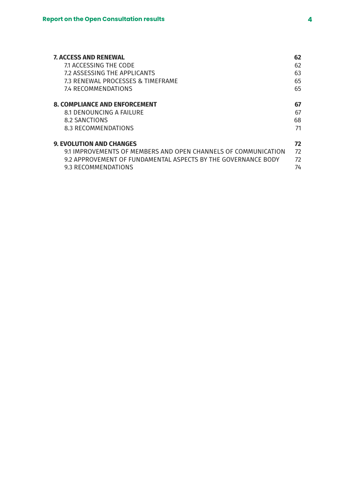| <b>7. ACCESS AND RENEWAL</b>                                  | 62 |
|---------------------------------------------------------------|----|
| 7.1 ACCESSING THE CODE                                        | 62 |
| 7.2 ASSESSING THE APPLICANTS                                  | 63 |
| 7.3 RENEWAL PROCESSES & TIMEFRAME                             | 65 |
| <b>7.4 RECOMMENDATIONS</b>                                    | 65 |
| <b>8. COMPLIANCE AND ENFORCEMENT</b>                          | 67 |
| 8.1 DENOUNCING A FAILURE                                      | 67 |
| 8.2 SANCTIONS                                                 | 68 |
| 8.3 RECOMMENDATIONS                                           | 71 |
| <b>9. EVOLUTION AND CHANGES</b>                               | 72 |
| 91 IMPROVEMENTS OF MEMBERS AND OPEN CHANNELS OF COMMUNICATION | 72 |
| 9.2 APPROVEMENT OF FUNDAMENTAL ASPECTS BY THE GOVERNANCE BODY | 72 |
| 9.3 RECOMMENDATIONS                                           | 74 |
|                                                               |    |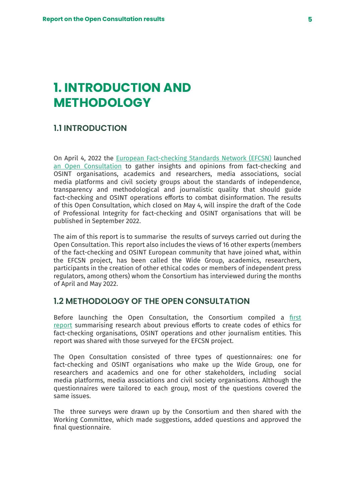# <span id="page-4-0"></span>**1. INTRODUCTION AND METHODOLOGY**

# **1.1 INTRODUCTION**

On April 4, 2022 the [European Fact-checking Standards Network \(EFCSN\)](https://eufactcheckingproject.com/) launched [an Open Consultation](https://eufactcheckingproject.com/the-efcsn-project-has-launched-an-open-consultation-to-gather-insights-and-opinions-on-the-creation-of-a-code-of-professional-integrity-for-european-fact-checking-and-osint-operations/) to gather insights and opinions from fact-checking and OSINT organisations, academics and researchers, media associations, social media platforms and civil society groups about the standards of independence, transparency and methodological and journalistic quality that should guide fact-checking and OSINT operations efforts to combat disinformation. The results of this Open Consultation, which closed on May 4, will inspire the draft of the Code of Professional Integrity for fact-checking and OSINT organisations that will be published in September 2022.

The aim of this report is to summarise the results of surveys carried out during the Open Consultation. This report also includes the views of 16 other experts (members of the fact-checking and OSINT European community that have joined what, within the EFCSN project, has been called the Wide Group, academics, researchers, participants in the creation of other ethical codes or members of independent press regulators, among others) whom the Consortium has interviewed during the months of April and May 2022.

## **1.2 METHODOLOGY OF THE OPEN CONSULTATION**

Before launching the Open Consultation, the Consortium compiled a [first](https://drive.google.com/file/d/1X3ctZBXjv5XmOsKboVhuIhlGvixxmEoG/view?usp=sharing) [report](https://drive.google.com/file/d/1X3ctZBXjv5XmOsKboVhuIhlGvixxmEoG/view?usp=sharing) summarising research about previous efforts to create codes of ethics for fact-checking organisations, OSINT operations and other journalism entities. This report was shared with those surveyed for the EFCSN project.

The Open Consultation consisted of three types of questionnaires: one for fact-checking and OSINT organisations who make up the Wide Group, one for researchers and academics and one for other stakeholders, including social media platforms, media associations and civil society organisations. Although the questionnaires were tailored to each group, most of the questions covered the same issues.

The three surveys were drawn up by the Consortium and then shared with the Working Committee, which made suggestions, added questions and approved the final questionnaire.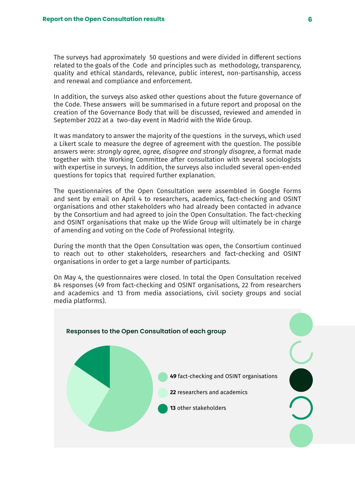The surveys had approximately 50 questions and were divided in different sections related to the goals of the Code and principles such as methodology, transparency, quality and ethical standards, relevance, public interest, non-partisanship, access and renewal and compliance and enforcement.

In addition, the surveys also asked other questions about the future governance of the Code. These answers will be summarised in a future report and proposal on the creation of the Governance Body that will be discussed, reviewed and amended in September 2022 at a two-day event in Madrid with the Wide Group.

It was mandatory to answer the majority of the questions in the surveys, which used a Likert scale to measure the degree of agreement with the question. The possible answers were: *strongly agree, agree, disagree and strongly disagree*, a format made together with the Working Committee after consultation with several sociologists with expertise in surveys. In addition, the surveys also included several open-ended questions for topics that required further explanation.

The questionnaires of the Open Consultation were assembled in Google Forms and sent by email on April 4 to researchers, academics, fact-checking and OSINT organisations and other stakeholders who had already been contacted in advance by the Consortium and had agreed to join the Open Consultation. The fact-checking and OSINT organisations that make up the Wide Group will ultimately be in charge of amending and voting on the Code of Professional Integrity.

During the month that the Open Consultation was open, the Consortium continued to reach out to other stakeholders, researchers and fact-checking and OSINT organisations in order to get a large number of participants.

On May 4, the questionnaires were closed. In total the Open Consultation received 84 responses (49 from fact-checking and OSINT organisations, 22 from researchers and academics and 13 from media associations, civil society groups and social media platforms).

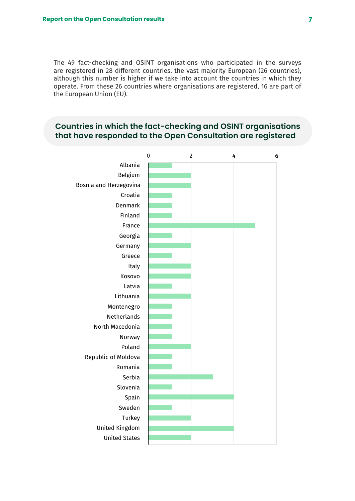The 49 fact-checking and OSINT organisations who participated in the surveys are registered in 28 different countries, the vast majority European (26 countries), although this number is higher if we take into account the countries in which they operate. From these 26 countries where organisations are registered, 16 are part of the European Union (EU).

# **Countries in which the fact-checking and OSINT organisations that have responded to the Open Consultation are registered**

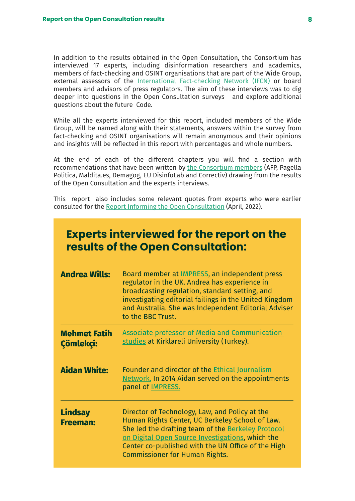In addition to the results obtained in the Open Consultation, the Consortium has interviewed 17 experts, including disinformation researchers and academics, members of fact-checking and OSINT organisations that are part of the Wide Group, external assessors of the [International Fact-checking Network \(IFCN\)](https://www.poynter.org/ifcn/) or board members and advisors of press regulators. The aim of these interviews was to dig deeper into questions in the Open Consultation surveys and explore additional questions about the future Code.

While all the experts interviewed for this report, included members of the Wide Group, will be named along with their statements, answers within the survey from fact-checking and OSINT organisations will remain anonymous and their opinions and insights will be reflected in this report with percentages and whole numbers.

At the end of each of the different chapters you will find a section with recommendations that have been written by [the Consortium members](https://eufactcheckingproject.com/consortium/) (AFP, Pagella Politica, Maldita.es, Demagog, EU DisinfoLab and Correctiv) drawing from the results of the Open Consultation and the experts interviews.

This report also includes some relevant quotes from experts who were earlier consulted for the [Report Informing the Open Consultation](https://drive.google.com/file/d/1X3ctZBXjv5XmOsKboVhuIhlGvixxmEoG/view) (April, 2022).

| <b>Experts interviewed for the report on the</b><br>results of the Open Consultation: |                                                                                                                                                                                                                                                                                                            |  |
|---------------------------------------------------------------------------------------|------------------------------------------------------------------------------------------------------------------------------------------------------------------------------------------------------------------------------------------------------------------------------------------------------------|--|
| <b>Andrea Wills:</b>                                                                  | Board member at <i>IMPRESS</i> , an independent press<br>regulator in the UK. Andrea has experience in<br>broadcasting regulation, standard setting, and<br>investigating editorial failings in the United Kingdom<br>and Australia. She was Independent Editorial Adviser<br>to the BBC Trust.            |  |
| <b>Mehmet Fatih</b><br>Çömlekçi:                                                      | <b>Associate professor of Media and Communication</b><br>studies at Kirklareli University (Turkey).                                                                                                                                                                                                        |  |
| <b>Aidan White:</b>                                                                   | Founder and director of the Ethical Journalism<br>Network. In 2014 Aidan served on the appointments<br>panel of <b>IMPRESS</b> .                                                                                                                                                                           |  |
| <b>Lindsay</b><br><b>Freeman:</b>                                                     | Director of Technology, Law, and Policy at the<br>Human Rights Center, UC Berkeley School of Law.<br>She led the drafting team of the Berkeley Protocol<br>on Digital Open Source Investigations, which the<br>Center co-published with the UN Office of the High<br><b>Commissioner for Human Rights.</b> |  |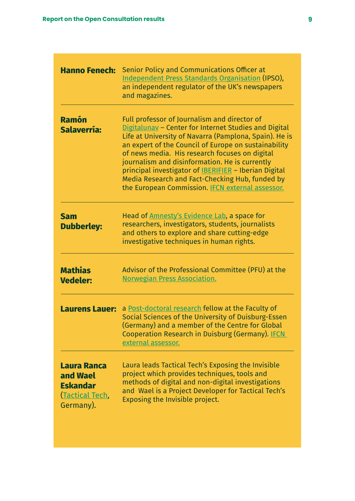| <b>Hanno Fenech:</b>                                                                     | Senior Policy and Communications Officer at<br><b>Independent Press Standards Organisation (IPSO),</b><br>an independent regulator of the UK's newspapers<br>and magazines.                                                                                                                                                                                                                                                                                                                               |
|------------------------------------------------------------------------------------------|-----------------------------------------------------------------------------------------------------------------------------------------------------------------------------------------------------------------------------------------------------------------------------------------------------------------------------------------------------------------------------------------------------------------------------------------------------------------------------------------------------------|
| <b>Ramón</b><br><b>Salaverría:</b>                                                       | Full professor of Journalism and director of<br>Digitalunav - Center for Internet Studies and Digital<br>Life at University of Navarra (Pamplona, Spain). He is<br>an expert of the Council of Europe on sustainability<br>of news media. His research focuses on digital<br>journalism and disinformation. He is currently<br>principal investigator of <b>IBERIFIER</b> - Iberian Digital<br>Media Research and Fact-Checking Hub, funded by<br>the European Commission. <b>IFCN</b> external assessor. |
| <b>Sam</b><br><b>Dubberley:</b>                                                          | Head of Amnesty's Evidence Lab, a space for<br>researchers, investigators, students, journalists<br>and others to explore and share cutting-edge<br>investigative techniques in human rights.                                                                                                                                                                                                                                                                                                             |
| <b>Mathias</b><br><b>Vedeler:</b>                                                        | Advisor of the Professional Committee (PFU) at the<br><b>Norwegian Press Association.</b>                                                                                                                                                                                                                                                                                                                                                                                                                 |
| <b>Laurens Lauer:</b>                                                                    | a Post-doctoral research fellow at the Faculty of<br>Social Sciences of the University of Duisburg-Essen<br>(Germany) and a member of the Centre for Global<br>Cooperation Research in Duisburg (Germany). IFCN<br>external assessor.                                                                                                                                                                                                                                                                     |
| <b>Laura Ranca</b><br>and Wael<br><b>Eskandar</b><br><u>(Tactical Tech,</u><br>Germany). | Laura leads Tactical Tech's Exposing the Invisible<br>project which provides techniques, tools and<br>methods of digital and non-digital investigations<br>and Wael is a Project Developer for Tactical Tech's<br>Exposing the Invisible project.                                                                                                                                                                                                                                                         |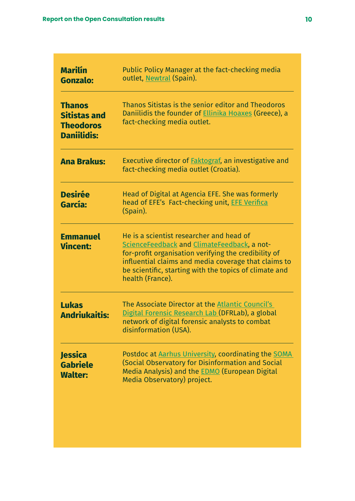| <b>Marilín</b><br><b>Gonzalo:</b>                                              | Public Policy Manager at the fact-checking media<br>outlet, Newtral (Spain).                                                                                                                                                                                                          |
|--------------------------------------------------------------------------------|---------------------------------------------------------------------------------------------------------------------------------------------------------------------------------------------------------------------------------------------------------------------------------------|
| <b>Thanos</b><br><b>Sitistas and</b><br><b>Theodoros</b><br><b>Daniilidis:</b> | Thanos Sitistas is the senior editor and Theodoros<br>Daniilidis the founder of <b>Ellinika Hoaxes</b> (Greece), a<br>fact-checking media outlet.                                                                                                                                     |
| <b>Ana Brakus:</b>                                                             | Executive director of <b>Faktograf</b> , an investigative and<br>fact-checking media outlet (Croatia).                                                                                                                                                                                |
| <b>Desirée</b><br>García:                                                      | Head of Digital at Agencia EFE. She was formerly<br>head of EFE's Fact-checking unit, EFE Verifica<br>(Spain).                                                                                                                                                                        |
| <b>Emmanuel</b><br><b>Vincent:</b>                                             | He is a scientist researcher and head of<br>ScienceFeedback and ClimateFeedback, a not-<br>for-profit organisation verifying the credibility of<br>influential claims and media coverage that claims to<br>be scientific, starting with the topics of climate and<br>health (France). |
| <b>Lukas</b><br><b>Andriukaitis:</b>                                           | The Associate Director at the Atlantic Council's<br>Digital Forensic Research Lab (DFRLab), a global<br>network of digital forensic analysts to combat<br>disinformation (USA).                                                                                                       |
| <b>Jessica</b><br><b>Gabriele</b><br><b>Walter:</b>                            | Postdoc at Aarhus University, coordinating the SOMA<br>(Social Observatory for Disinformation and Social<br>Media Analysis) and the <b>EDMO</b> (European Digital<br>Media Observatory) project.                                                                                      |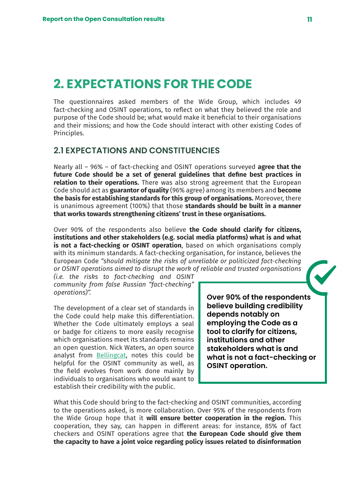# <span id="page-10-0"></span>**2. EXPECTATIONS FOR THE CODE**

The questionnaires asked members of the Wide Group, which includes 49 fact-checking and OSINT operations, to reflect on what they believed the role and purpose of the Code should be; what would make it beneficial to their organisations and their missions; and how the Code should interact with other existing Codes of Principles.

## **2.1 EXPECTATIONS AND CONSTITUENCIES**

Nearly all – 96% – of fact-checking and OSINT operations surveyed **agree that the future Code should be a set of general guidelines that define best practices in relation to their operations.** There was also strong agreement that the European Code should act as **guarantor of quality** (96% agree) among its members and **become the basis for establishing standards for this group of organisations.** Moreover, there is unanimous agreement (100%) that those **standards should be built in a manner that works towards strengthening citizens' trust in these organisations.**

Over 90% of the respondents also believe **the Code should clarify for citizens, institutions and other stakeholders (e.g. social media platforms) what is and what is not a fact-checking or OSINT operation**, based on which organisations comply with its minimum standards. A fact-checking organisation, for instance, believes the European Code *"should mitigate the risks of unreliable or politicized fact-checking or OSINT operations aimed to disrupt the work of reliable and trusted organisations* 

*(i.e. the risks to fact-checking and OSINT community from false Russian "fact-checking" operations)".* 

The development of a clear set of standards in the Code could help make this differentiation. Whether the Code ultimately employs a seal or badge for citizens to more easily recognise which organisations meet its standards remains an open question. Nick Waters, an open source analyst from [Bellingcat](https://es.bellingcat.com/), notes this could be helpful for the OSINT community as well, as the field evolves from work done mainly by individuals to organisations who would want to establish their credibility with the public.

**Over 90% of the respondents believe building credibility depends notably on employing the Code as a tool to clarify for citizens, institutions and other stakeholders what is and what is not a fact-checking or OSINT operation.**

What this Code should bring to the fact-checking and OSINT communities, according to the operations asked, is more collaboration. Over 95% of the respondents from the Wide Group hope that it **will ensure better cooperation in the region.** This cooperation, they say, can happen in different areas: for instance, 85% of fact checkers and OSINT operations agree that **the European Code should give them the capacity to have a joint voice regarding policy issues related to disinformation**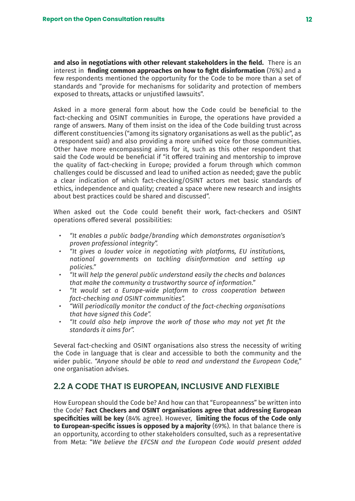<span id="page-11-0"></span>**and also in negotiations with other relevant stakeholders in the field.** There is an interest in **finding common approaches on how to fight disinformation** (76%) and a few respondents mentioned the opportunity for the Code to be more than a set of standards and "provide for mechanisms for solidarity and protection of members exposed to threats, attacks or unjustified lawsuits".

Asked in a more general form about how the Code could be beneficial to the fact-checking and OSINT communities in Europe, the operations have provided a range of answers. Many of them insist on the idea of the Code building trust across different constituencies ("among its signatory organisations as well as the public", as a respondent said) and also providing a more unified voice for those communities. Other have more encompassing aims for it, such as this other respondent that said the Code would be beneficial if "it offered training and mentorship to improve the quality of fact-checking in Europe; provided a forum through which common challenges could be discussed and lead to unified action as needed; gave the public a clear indication of which fact-checking/OSINT actors met basic standards of ethics, independence and quality; created a space where new research and insights about best practices could be shared and discussed".

When asked out the Code could benefit their work, fact-checkers and OSINT operations offered several possibilities:

- *• "It enables a public badge/branding which demonstrates organisation's proven professional integrity".*
- *• "It gives a louder voice in negotiating with platforms, EU institutions, national governments on tackling disinformation and setting up policies."*
- *• "It will help the general public understand easily the checks and balances that make the community a trustworthy source of information."*
- *• "It would set a Europe-wide platform to cross cooperation between fact-checking and OSINT communities".*
- *• "Will periodically monitor the conduct of the fact-checking organisations that have signed this Code".*
- *• "It could also help improve the work of those who may not yet fit the standards it aims for".*

Several fact-checking and OSINT organisations also stress the necessity of writing the Code in language that is clear and accessible to both the community and the wider public. *"Anyone should be able to read and understand the European Code,"*  one organisation advises.

# **2.2 A CODE THAT IS EUROPEAN, INCLUSIVE AND FLEXIBLE**

How European should the Code be? And how can that "Europeanness" be written into the Code? **Fact Checkers and OSINT organisations agree that addressing European specificities will be key** (84% agree). However, **limiting the focus of the Code only to European-specific issues is opposed by a majority** (69%). In that balance there is an opportunity, according to other stakeholders consulted, such as a representative from Meta: "*We believe the EFCSN and the European Code would present added*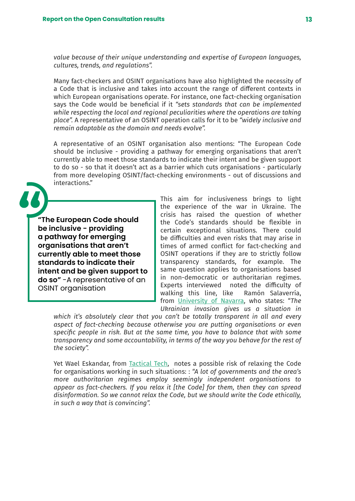*value because of their unique understanding and expertise of European languages, cultures, trends, and regulations".*

Many fact-checkers and OSINT organisations have also highlighted the necessity of a Code that is inclusive and takes into account the range of different contexts in which European organisations operate. For instance, one fact-checking organisation says the Code would be beneficial if it *"sets standards that can be implemented while respecting the local and regional peculiarities where the operations are taking place".* A representative of an OSINT operation calls for it to be *"widely inclusive and remain adaptable as the domain and needs evolve".*

A representative of an OSINT organisation also mentions: "The European Code should be inclusive - providing a pathway for emerging organisations that aren't currently able to meet those standards to indicate their intent and be given support to do so - so that it doesn't act as a barrier which cuts organisations - particularly from more developing OSINT/fact-checking environments - out of discussions and interactions."

**"The European Code should be inclusive - providing a pathway for emerging organisations that aren't currently able to meet those standards to indicate their intent and be given support to do so"** -A representative of an OSINT organisation

This aim for inclusiveness brings to light the experience of the war in Ukraine. The crisis has raised the question of whether the Code's standards should be flexible in certain exceptional situations. There could be difficulties and even risks that may arise in times of armed conflict for fact-checking and OSINT operations if they are to strictly follow transparency standards, for example. The same question applies to organisations based in non-democratic or authoritarian regimes. Experts interviewed noted the difficulty of walking this line, like Ramón Salaverría, from [University of Navarra](https://www.unav.edu/web/facultad-de-comunicacion/profesores-e-investigacion/digitalunav), who states: "*The Ukrainian invasion gives us a situation in* 

*which it's absolutely clear that you can't be totally transparent in all and every aspect of fact-checking because otherwise you are putting organisations or even specific people in risk. But at the same time, you have to balance that with some transparency and some accountability, in terms of the way you behave for the rest of the society".* 

Yet Wael Eskandar, from [Tactical Tech](https://tacticaltech.org/), notes a possible risk of relaxing the Code for organisations working in such situations: : *"A lot of governments and the area's more authoritarian regimes employ seemingly independent organisations to appear as fact-checkers. If you relax it [the Code] for them, then they can spread disinformation. So we cannot relax the Code, but we should write the Code ethically, in such a way that is convincing".*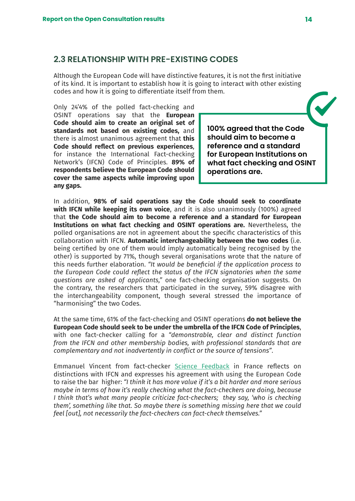## <span id="page-13-0"></span>**2.3 RELATIONSHIP WITH PRE-EXISTING CODES**

Although the European Code will have distinctive features, it is not the first initiative of its kind. It is important to establish how it is going to interact with other existing codes and how it is going to differentiate itself from them.

Only 24'4% of the polled fact-checking and OSINT operations say that the **European Code should aim to create an original set of standards not based on existing codes,** and there is almost unanimous agreement that **this Code should reflect on previous experiences**, for instance the International Fact-checking Network's (IFCN) Code of Principles. **89% of respondents believe the European Code should cover the same aspects while improving upon any gaps.**

**100% agreed that the Code should aim to become a reference and a standard for European Institutions on what fact checking and OSINT operations are.**

In addition, **98% of said operations say the Code should seek to coordinate with IFCN while keeping its own voice**, and it is also unanimously (100%) agreed that **the Code should aim to become a reference and a standard for European Institutions on what fact checking and OSINT operations are.** Nevertheless, the polled organisations are not in agreement about the specific characteristics of this collaboration with IFCN. **Automatic interchangeability between the two codes** (i.e. being certified by one of them would imply automatically being recognised by the other) is supported by 71%, though several organisations wrote that the nature of this needs further elaboration. *"It would be beneficial if the application process to the European Code could reflect the status of the IFCN signatories when the same questions are asked of applicants,"* one fact-checking organisation suggests. On the contrary, the researchers that participated in the survey, 59% disagree with the interchangeability component, though several stressed the importance of "harmonising" the two Codes.

At the same time, 61% of the fact-checking and OSINT operations **do not believe the European Code should seek to be under the umbrella of the IFCN Code of Principles**, with one fact-checker calling for a *"demonstrable, clear and distinct function from the IFCN and other membership bodies, with professional standards that are complementary and not inadvertently in conflict or the source of tensions"*.

Emmanuel Vincent from fact-checker [Science Feedback](https://sciencefeedback.co/) in France reflects on distinctions with IFCN and expresses his agreement with using the European Code to raise the bar higher: *"I think it has more value if it's a bit harder and more serious maybe in terms of how it's really checking what the fact-checkers are doing, because I think that's what many people criticize fact-checkers; they say, 'who is checking them', something like that. So maybe there is something missing here that we could feel [out], not necessarily the fact-checkers can fact-check themselves."*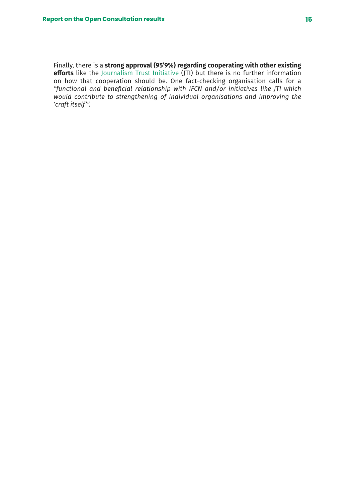Finally, there is a **strong approval (95'9%) regarding cooperating with other existing**  efforts like the <u>[Journalism Trust Initiative](https://www.journalismtrustinitiative.org/es/)</u> (JTI) but there is no further information on how that cooperation should be. One fact-checking organisation calls for a *"functional and beneficial relationship with IFCN and/or initiatives like JTI which would contribute to strengthening of individual organisations and improving the 'craft itself'".*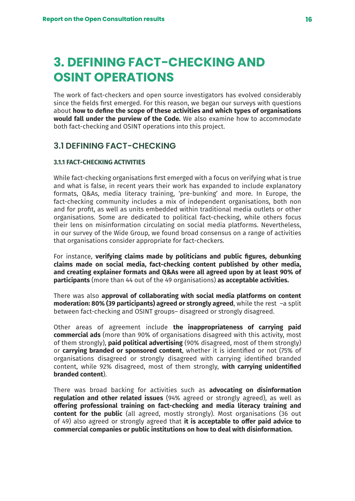# <span id="page-15-0"></span>**3. DEFINING FACT-CHECKING AND OSINT OPERATIONS**

The work of fact-checkers and open source investigators has evolved considerably since the fields first emerged. For this reason, we began our surveys with questions about **how to define the scope of these activities and which types of organisations would fall under the purview of the Code.** We also examine how to accommodate both fact-checking and OSINT operations into this project.

# **3.1 DEFINING FACT-CHECKING**

## **3.1.1 FACT-CHECKING ACTIVITIES**

While fact-checking organisations first emerged with a focus on verifying what is true and what is false, in recent years their work has expanded to include explanatory formats, Q&As, media literacy training, 'pre-bunking' and more. In Europe, the fact-checking community includes a mix of independent organisations, both non and for profit, as well as units embedded within traditional media outlets or other organisations. Some are dedicated to political fact-checking, while others focus their lens on misinformation circulating on social media platforms. Nevertheless, in our survey of the Wide Group, we found broad consensus on a range of activities that organisations consider appropriate for fact-checkers.

For instance, **verifying claims made by politicians and public figures, debunking claims made on social media, fact-checking content published by other media, and creating explainer formats and Q&As were all agreed upon by at least 90% of participants** (more than 44 out of the 49 organisations) **as acceptable activities.**

There was also **approval of collaborating with social media platforms on content moderation: 80% (39 participants) agreed or strongly agreed**, while the rest –a split between fact-checking and OSINT groups– disagreed or strongly disagreed.

Other areas of agreement include **the inappropriateness of carrying paid commercial ads** (more than 90% of organisations disagreed with this activity, most of them strongly), **paid political advertising** (90% disagreed, most of them strongly) or **carrying branded or sponsored content**, whether it is identified or not (75% of organisations disagreed or strongly disagreed with carrying identified branded content, while 92% disagreed, most of them strongly, **with carrying unidentified branded content**).

There was broad backing for activities such as **advocating on disinformation regulation and other related issues** (94% agreed or strongly agreed), as well as **offering professional training on fact-checking and media literacy training and content for the public** (all agreed, mostly strongly). Most organisations (36 out of 49) also agreed or strongly agreed that **it is acceptable to offer paid advice to commercial companies or public institutions on how to deal with disinformation.**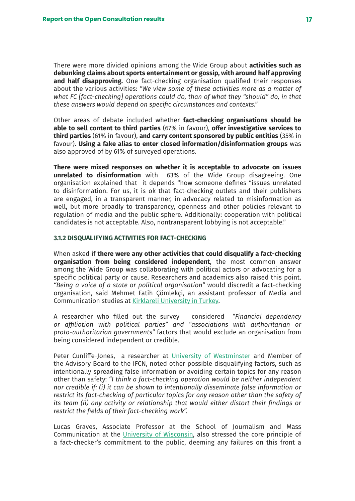<span id="page-16-0"></span>There were more divided opinions among the Wide Group about **activities such as debunking claims about sports entertainment or gossip, with around half approving and half disapproving.** One fact-checking organisation qualified their responses about the various activities: *"We view some of these activities more as a matter of what FC [fact-checking] operations could do, than of what they "should" do, in that these answers would depend on specific circumstances and contexts."*

Other areas of debate included whether **fact-checking organisations should be able to sell content to third parties** (67% in favour), **offer investigative services to third parties** (61% in favour), **and carry content sponsored by public entities** (35% in favour). **Using a fake alias to enter closed information/disinformation groups** was also approved of by 61% of surveyed operations.

**There were mixed responses on whether it is acceptable to advocate on issues unrelated to disinformation** with 63% of the Wide Group disagreeing. One organisation explained that it depends "how someone defines "issues unrelated to disinformation. For us, it is ok that fact-checking outlets and their publishers are engaged, in a transparent manner, in advocacy related to misinformation as well, but more broadly to transparency, openness and other policies relevant to regulation of media and the public sphere. Additionally: cooperation with political candidates is not acceptable. Also, nontransparent lobbying is not acceptable."

## **3.1.2 DISQUALIFYING ACTIVITIES FOR FACT-CHECKING**

When asked if **there were any other activities that could disqualify a fact-checking organisation from being considered independent**, the most common answer among the Wide Group was collaborating with political actors or advocating for a specific political party or cause. Researchers and academics also raised this point. *"Being a voice of a state or political organisation"* would discredit a fact-checking organisation, said Mehmet Fatih Çömlekçi, an assistant professor of Media and Communication studies at [Kirklareli University in Turkey](https://www.klu.edu.tr/dil/en).

A researcher who filled out the survey considered *"Financial dependency or affiliation with political parties" and "associations with authoritarian or proto-authoritarian governments"* factors that would exclude an organisation from being considered independent or credible.

Peter Cunliffe-Jones, a researcher at [University of Westminster](https://www.westminster.ac.uk/) and Member of the Advisory Board to the IFCN, noted other possible disqualifying factors, such as intentionally spreading false information or avoiding certain topics for any reason other than safety: *"I think a fact-checking operation would be neither independent nor credible if: (i) it can be shown to intentionally disseminate false information or restrict its fact-checking of particular topics for any reason other than the safety of its team (ii) any activity or relationship that would either distort their findings or restrict the fields of their fact-checking work".*

Lucas Graves, Associate Professor at the School of Journalism and Mass Communication at the [University of Wisconsin,](https://www.wisc.edu/) also stressed the core principle of a fact-checker's commitment to the public, deeming any failures on this front a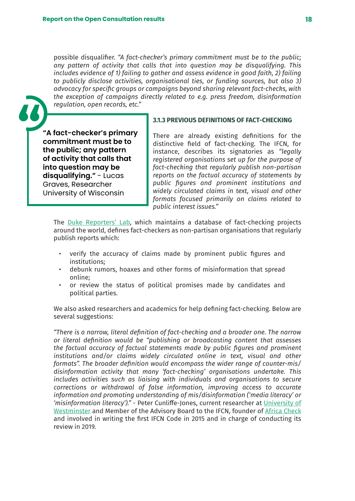<span id="page-17-0"></span>possible disqualifier. *"A fact-checker's primary commitment must be to the public; any pattern of activity that calls that into question may be disqualifying. This includes evidence of 1) failing to gather and assess evidence in good faith, 2) failing to publicly disclose activities, organisational ties, or funding sources, but also 3) advocacy for specific groups or campaigns beyond sharing relevant fact-checks, with the exception of campaigns directly related to e.g. press freedom, disinformation regulation, open records, etc."*

**"A fact-checker's primary commitment must be to the public; any pattern of activity that calls that into question may be disqualifying."** - Lucas Graves, Researcher University of Wisconsin

## **3.1.3 PREVIOUS DEFINITIONS OF FACT-CHECKING**

There are already existing definitions for the distinctive field of fact-checking. The IFCN, for instance, describes its signatories as *"legally registered organisations set up for the purpose of fact-checking that regularly publish non-partisan reports on the factual accuracy of statements by public figures and prominent institutions and widely circulated claims in text, visual and other formats focused primarily on claims related to public interest issues."* 

The [Duke Reporters' Lab,](https://reporterslab.org/) which maintains a database of fact-checking projects around the world, defines fact-checkers as non-partisan organisations that regularly publish reports which:

- verify the accuracy of claims made by prominent public figures and institutions;
- debunk rumors, hoaxes and other forms of misinformation that spread online;
- or review the status of political promises made by candidates and political parties.

We also asked researchers and academics for help defining fact-checking. Below are several suggestions:

*"There is a narrow, literal definition of fact-checking and a broader one. The narrow or literal definition would be "publishing or broadcasting content that assesses the factual accuracy of factual statements made by public figures and prominent institutions and/or claims widely circulated online in text, visual and other formats". The broader definition would encompass the wider range of counter-mis/ disinformation activity that many 'fact-checking' organisations undertake. This includes activities such as liaising with individuals and organisations to secure corrections or withdrawal of false information, improving access to accurate information and promoting understanding of mis/disinformation ('media literacy' or 'misinformation literacy')."* - Peter Cunliffe-Jones, current researcher at [University of](https://www.westminster.ac.uk/) [Westminster](https://www.westminster.ac.uk/) and Member of the Advisory Board to the IFCN, founder of [Africa Check](https://africacheck.org/) and involved in writing the first IFCN Code in 2015 and in charge of conducting its review in 2019.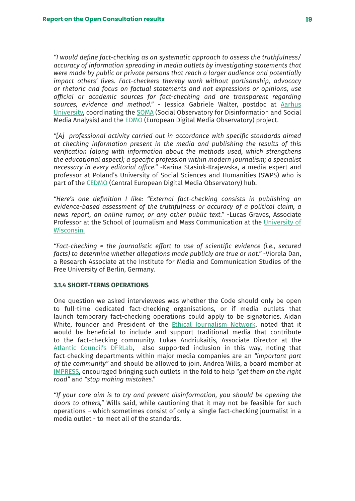<span id="page-18-0"></span>*"I would define fact-checking as an systematic approach to assess the truthfulness/ accuracy of information spreading in media outlets by investigating statements that were made by public or private persons that reach a larger audience and potentially impact others' lives. Fact-checkers thereby work without partisanship, advocacy or rhetoric and focus on factual statements and not expressions or opinions, use official or academic sources for fact-checking and are transparent regarding sources, evidence and method."* - Jessica Gabriele Walter, postdoc at [Aarhus](https://international.au.dk/) [University](https://international.au.dk/), coordinating the [SOMA](https://www.disinfobservatory.org/) (Social Observatory for Disinformation and Social Media Analysis) and the [EDMO](https://digital-strategy.ec.europa.eu/en/policies/european-digital-media-observatory) (European Digital Media Observatory) project.

*"[A] professional activity carried out in accordance with specific standards aimed at checking information present in the media and publishing the results of this verification (along with information about the methods used, which strengthens the educational aspect); a specific profession within modern journalism; a specialist necessary in every editorial office."* -Karina Stasiuk-Krajewska, a media expert and professor at Poland's University of Social Sciences and Humanities (SWPS) who is part of the [CEDMO](https://cedmohub.eu/about-us/cedmo-in-detail/our-members/#karina-stasiuk-krajewska) (Central European Digital Media Observatory) hub.

*"Here's one definition I like: "External fact-checking consists in publishing an evidence-based assessment of the truthfulness or accuracy of a political claim, a news report, an online rumor, or any other public text."* -Lucas Graves, Associate Professor at the School of Journalism and Mass Communication at the [University of](https://www.wisc.edu/) [Wisconsin.](https://www.wisc.edu/)

*"Fact-checking = the journalistic effort to use of scientific evidence (i.e., secured facts) to determine whether allegations made publicly are true or not."* -Viorela Dan, a Research Associate at the Institute for Media and Communication Studies of the Free University of Berlin, Germany.

#### **3.1.4 SHORT-TERMS OPERATIONS**

One question we asked interviewees was whether the Code should only be open to full-time dedicated fact-checking organisations, or if media outlets that launch temporary fact-checking operations could apply to be signatories. Aidan White, founder and President of the [Ethical Journalism Network](https://ethicaljournalismnetwork.org/), noted that it would be beneficial to include and support traditional media that contribute to the fact-checking community. Lukas Andriukaitis, Associate Director at the [Atlantic Council's DFRLab](https://www.atlanticcouncil.org/programs/digital-forensic-research-lab/), also supported inclusion in this way, noting that fact-checking departments within major media companies are an *"important part of the community"* and should be allowed to join. Andrea Wills, a board member at [IMPRESS](https://impress.press/), encouraged bringing such outlets in the fold to help "*get them on the right road"* and *"stop making mistakes."* 

*"If your core aim is to try and prevent disinformation, you should be opening the doors to others,"* Wills said, while cautioning that it may not be feasible for such operations – which sometimes consist of only a single fact-checking journalist in a media outlet - to meet all of the standards.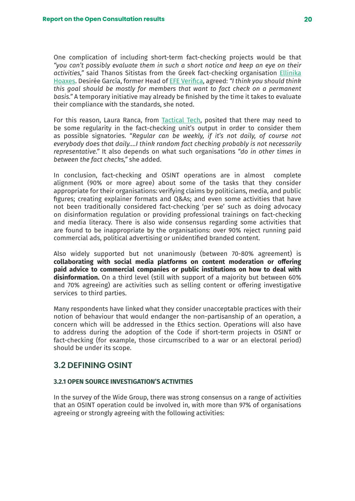<span id="page-19-0"></span>One complication of including short-term fact-checking projects would be that *"you can't possibly evaluate them in such a short notice and keep an eye on their activities,"* said Thanos Sitistas from the Greek fact-checking organisation [Ellinika](https://www.ellinikahoaxes.gr/) [Hoaxes](https://www.ellinikahoaxes.gr/). Desirée García, former Head of [EFE Verifica](https://verifica.efe.com/), agreed: *"I think you should think this goal should be mostly for members that want to fact check on a permanent basis."* A temporary initiative may already be finished by the time it takes to evaluate their compliance with the standards, she noted.

For this reason, Laura Ranca, from [Tactical Tech](https://tacticaltech.org/), posited that there may need to be some regularity in the fact-checking unit's output in order to consider them as possible signatories. "*Regular can be weekly, if it's not daily, of course not everybody does that daily….I think random fact checking probably is not necessarily representative."* It also depends on what such organisations *"do in other times in between the fact checks,"* she added.

In conclusion, fact-checking and OSINT operations are in almost complete alignment (90% or more agree) about some of the tasks that they consider appropriate for their organisations: verifying claims by politicians, media, and public figures; creating explainer formats and Q&As; and even some activities that have not been traditionally considered fact-checking 'per se' such as doing advocacy on disinformation regulation or providing professional trainings on fact-checking and media literacy. There is also wide consensus regarding some activities that are found to be inappropriate by the organisations: over 90% reject running paid commercial ads, political advertising or unidentified branded content.

Also widely supported but not unanimously (between 70-80% agreement) is **collaborating with social media platforms on content moderation or offering paid advice to commercial companies or public institutions on how to deal with disinformation.** On a third level (still with support of a majority but between 60% and 70% agreeing) are activities such as selling content or offering investigative services to third parties.

Many respondents have linked what they consider unacceptable practices with their notion of behaviour that would endanger the non-partisanship of an operation, a concern which will be addressed in the Ethics section. Operations will also have to address during the adoption of the Code if short-term projects in OSINT or fact-checking (for example, those circumscribed to a war or an electoral period) should be under its scope.

## **3.2 DEFINING OSINT**

## **3.2.1 OPEN SOURCE INVESTIGATION'S ACTIVITIES**

In the survey of the Wide Group, there was strong consensus on a range of activities that an OSINT operation could be involved in, with more than 97% of organisations agreeing or strongly agreeing with the following activities: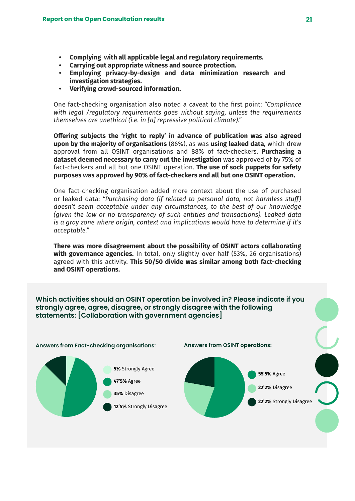- **• Complying with all applicable legal and regulatory requirements.**
- **• Carrying out appropriate witness and source protection.**
- **• Employing privacy-by-design and data minimization research and investigation strategies.**
- **• Verifying crowd-sourced information.**

One fact-checking organisation also noted a caveat to the first point: *"Compliance with legal /regulatory requirements goes without saying, unless the requirements themselves are unethical (i.e. in [a] repressive political climate)."*

**Offering subjects the 'right to reply' in advance of publication was also agreed upon by the majority of organisations** (86%), as was **using leaked data**, which drew approval from all OSINT organisations and 88% of fact-checkers. **Purchasing a dataset deemed necessary to carry out the investigation** was approved of by 75% of fact-checkers and all but one OSINT operation. **The use of sock puppets for safety purposes was approved by 90% of fact-checkers and all but one OSINT operation.**

One fact-checking organisation added more context about the use of purchased or leaked data: *"Purchasing data (if related to personal data, not harmless stuff) doesn't seem acceptable under any circumstances, to the best of our knowledge (given the low or no transparency of such entities and transactions). Leaked data is a gray zone where origin, context and implications would have to determine if it's acceptable."*

**There was more disagreement about the possibility of OSINT actors collaborating with governance agencies.** In total, only slightly over half (53%, 26 organisations) agreed with this activity. **This 50/50 divide was similar among both fact-checking and OSINT operations.**

**Which activities should an OSINT operation be involved in? Please indicate if you strongly agree, agree, disagree, or strongly disagree with the following statements: [Collaboration with government agencies]**

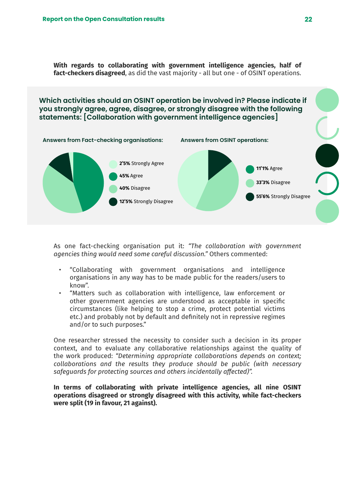**With regards to collaborating with government intelligence agencies, half of fact-checkers disagreed**, as did the vast majority - all but one - of OSINT operations.

**Answers from Fact-checking organisations: Answers from OSINT operations: Which activities should an OSINT operation be involved in? Please indicate if you strongly agree, agree, disagree, or strongly disagree with the following statements: [Collaboration with government intelligence agencies]**



As one fact-checking organisation put it: *"The collaboration with government agencies thing would need some careful discussion."* Others commented:

- "Collaborating with government organisations and intelligence organisations in any way has to be made public for the readers/users to know".
- "Matters such as collaboration with intelligence, law enforcement or other government agencies are understood as acceptable in specific circumstances (like helping to stop a crime, protect potential victims etc.) and probably not by default and definitely not in repressive regimes and/or to such purposes."

One researcher stressed the necessity to consider such a decision in its proper context, and to evaluate any collaborative relationships against the quality of the work produced: *"Determining appropriate collaborations depends on context; collaborations and the results they produce should be public (with necessary safeguards for protecting sources and others incidentally affected)".*

**In terms of collaborating with private intelligence agencies, all nine OSINT operations disagreed or strongly disagreed with this activity, while fact-checkers were split (19 in favour, 21 against).**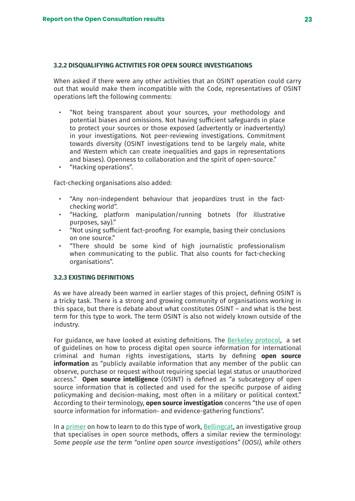## <span id="page-22-0"></span>**3.2.2 DISQUALIFYING ACTIVITIES FOR OPEN SOURCE INVESTIGATIONS**

When asked if there were any other activities that an OSINT operation could carry out that would make them incompatible with the Code, representatives of OSINT operations left the following comments:

- "Not being transparent about your sources, your methodology and potential biases and omissions. Not having sufficient safeguards in place to protect your sources or those exposed (advertently or inadvertently) in your investigations. Not peer-reviewing investigations. Commitment towards diversity (OSINT investigations tend to be largely male, white and Western which can create inequalities and gaps in representations and biases). Openness to collaboration and the spirit of open-source."
- "Hacking operations".

Fact-checking organisations also added:

- "Any non-independent behaviour that jeopardizes trust in the factchecking world".
- "Hacking, platform manipulation/running botnets (for illustrative purposes, say)."
- "Not using sufficient fact-proofing. For example, basing their conclusions on one source."
- "There should be some kind of high journalistic professionalism when communicating to the public. That also counts for fact-checking organisations".

### **3.2.3 EXISTING DEFINITIONS**

As we have already been warned in earlier stages of this project, defining OSINT is a tricky task. There is a strong and growing community of organisations working in this space, but there is debate about what constitutes OSINT – and what is the best term for this type to work. The term OSINT is also not widely known outside of the industry.

For guidance, we have looked at existing definitions. The [Berkeley protocol](https://www.ohchr.org/sites/default/files/2022-04/OHCHR_BerkeleyProtocol.pdf), a set of guidelines on how to process digital open source information for international criminal and human rights investigations, starts by defining **open source information** as "publicly available information that any member of the public can observe, purchase or request without requiring special legal status or unauthorized access." **Open source intelligence** (OSINT) is defined as "a subcategory of open source information that is collected and used for the specific purpose of aiding policymaking and decision-making, most often in a military or political context." According to their terminology, **open source investigation** concerns "the use of open source information for information- and evidence-gathering functions".

In a [primer](https://www.bellingcat.com/resources/2021/11/09/first-steps-to-getting-started-in-open-source-research/) on how to learn to do this type of work, [Bellingcat,](https://es.bellingcat.com/) an investigative group that specialises in open source methods, offers a similar review the terminology: *Some people use the term "online open source investigations" (OOSI), while others*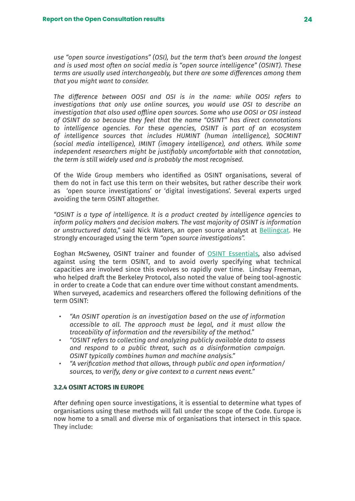<span id="page-23-0"></span>*use "open source investigations" (OSI), but the term that's been around the longest and is used most often on social media is "open source intelligence" (OSINT). These terms are usually used interchangeably, but there are some differences among them that you might want to consider.*

*The difference between OOSI and OSI is in the name: while OOSI refers to investigations that only use online sources, you would use OSI to describe an investigation that also used offline open sources. Some who use OOSI or OSI instead of OSINT do so because they feel that the name "OSINT" has direct connotations to intelligence agencies. For these agencies, OSINT is part of an ecosystem of intelligence sources that includes HUMINT (human intelligence), SOCMINT (social media intelligence), IMINT (imagery intelligence), and others. While some independent researchers might be justifiably uncomfortable with that connotation, the term is still widely used and is probably the most recognised.*

Of the Wide Group members who identified as OSINT organisations, several of them do not in fact use this term on their websites, but rather describe their work as 'open source investigations' or 'digital investigations'. Several experts urged avoiding the term OSINT altogether.

*"OSINT is a type of intelligence. It is a product created by intelligence agencies to inform policy makers and decision makers. The vast majority of OSINT is information*  or unstructured data," said Nick Waters, an open source analyst at **Bellingcat**. He strongly encouraged using the term *"open source investigations".*

Eoghan McSweney, OSINT trainer and founder of [OSINT Essentials](https://www.osintessentials.com/), also advised against using the term OSINT, and to avoid overly specifying what technical capacities are involved since this evolves so rapidly over time. Lindsay Freeman, who helped draft the Berkeley Protocol, also noted the value of being tool-agnostic in order to create a Code that can endure over time without constant amendments. When surveyed, academics and researchers offered the following definitions of the term OSINT:

- *• "An OSINT operation is an investigation based on the use of information accessible to all. The approach must be legal, and it must allow the traceability of information and the reversibility of the method."*
- *• "OSINT refers to collecting and analyzing publicly available data to assess and respond to a public threat, such as a disinformation campaign. OSINT typically combines human and machine analysis."*
- *• "A verification method that allows, through public and open information/ sources, to verify, deny or give context to a current news event."*

## **3.2.4 OSINT ACTORS IN EUROPE**

After defining open source investigations, it is essential to determine what types of organisations using these methods will fall under the scope of the Code. Europe is now home to a small and diverse mix of organisations that intersect in this space. They include: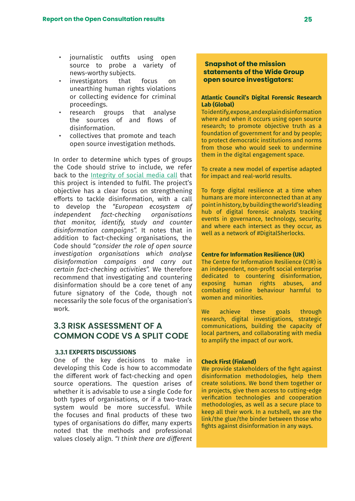- <span id="page-24-0"></span>• journalistic outfits using open source to probe a variety of news-worthy subjects.
- investigators that focus on unearthing human rights violations or collecting evidence for criminal proceedings.
- research groups that analyse the sources of and flows of disinformation.
- collectives that promote and teach open source investigation methods.

In order to determine which types of groups the Code should strive to include, we refer back to the [Integrity of social media call](https://digital-strategy.ec.europa.eu/en/funding/call-proposals-integrity-social-media) that this project is intended to fulfil. The project's objective has a clear focus on strengthening efforts to tackle disinformation, with a call to develop the *"European ecosystem of independent fact-checking organisations that monitor, identify, study and counter disinformation campaigns".* It notes that in addition to fact-checking organisations, the Code should *"consider the role of open source investigation organisations which analyse disinformation campaigns and carry out certain fact-checking activities".* We therefore recommend that investigating and countering disinformation should be a core tenet of any future signatory of the Code, though not necessarily the sole focus of the organisation's work.

# **3.3 RISK ASSESSMENT OF A COMMON CODE VS A SPLIT CODE**

#### **3.3.1 EXPERTS DISCUSSIONS**

One of the key decisions to make in developing this Code is how to accommodate the different work of fact-checking and open source operations. The question arises of whether it is advisable to use a single Code for both types of organisations, or if a two-track system would be more successful. While the focuses and final products of these two types of organisations do differ, many experts noted that the methods and professional values closely align. *"I think there are different* 

## **Snapshot of the mission statements of the Wide Group open source investigators:**

### **Atlantic Council's Digital Forensic Research Lab (Global)**

To identify, expose, and explain disinformation where and when it occurs using open source research; to promote objective truth as a foundation of government for and by people; to protect democratic institutions and norms from those who would seek to undermine them in the digital engagement space.

To create a new model of expertise adapted for impact and real-world results.

To forge digital resilience at a time when humans are more interconnected than at any point in history, by building the world's leading hub of digital forensic analysts tracking events in governance, technology, security, and where each intersect as they occur, as well as a network of #DigitalSherlocks.

#### **Centre for Information Resilience (UK)**

The Centre for Information Resilience (CIR) is an independent, non-profit social enterprise dedicated to countering disinformation, exposing human rights abuses, and combating online behaviour harmful to women and minorities.

We achieve these goals through research, digital investigations, strategic communications, building the capacity of local partners, and collaborating with media to amplify the impact of our work.

#### **Check First (Finland)**

We provide stakeholders of the fight against disinformation methodologies, help them create solutions. We bond them together or in projects, give them access to cutting-edge verification technologies and cooperation methodologies, as well as a secure place to keep all their work. In a nutshell, we are the link/the glue/the binder between those who fights against disinformation in any ways.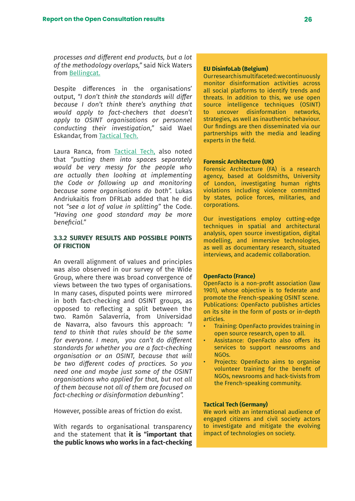<span id="page-25-0"></span>*processes and different end products, but a lot of the methodology overlaps,"* said Nick Waters from [Bellingcat.](https://es.bellingcat.com/)

Despite differences in the organisations' output, *"I don't think the standards will differ because I don't think there's anything that would apply to fact-checkers that doesn't apply to OSINT organisations or personnel conducting their investigation,"* said Wael Eskandar, from [Tactical Tech.](https://tacticaltech.org/)

Laura Ranca, from [Tactical Tech,](https://tacticaltech.org/) also noted that *"putting them into spaces separately would be very messy for the people who are actually then looking at implementing the Code or following up and monitoring because some organisations do both".* Lukas Andriukaitis from DFRLab added that he did not *"see a lot of value in splitting"* the Code. *"Having one good standard may be more beneficial."* 

### **3.3.2 SURVEY RESULTS AND POSSIBLE POINTS OF FRICTION**

An overall alignment of values and principles was also observed in our survey of the Wide Group, where there was broad convergence of views between the two types of organisations. In many cases, disputed points were mirrored in both fact-checking and OSINT groups, as opposed to reflecting a split between the two. Ramón Salaverría, from Universidad de Navarra, also favours this approach: *"I tend to think that rules should be the same for everyone. I mean, you can't do different standards for whether you are a fact-checking organisation or an OSINT, because that will be two different codes of practices. So you need one and maybe just some of the OSINT organisations who applied for that, but not all of them because not all of them are focused on fact-checking or disinformation debunking".*

However, possible areas of friction do exist.

With regards to organisational transparency and the statement that **it is "important that the public knows who works in a fact-checking** 

### **EU DisinfoLab (Belgium)**

Our research is multifaceted: we continuously monitor disinformation activities across all social platforms to identify trends and threats. In addition to this, we use open source intelligence techniques (OSINT) to uncover disinformation networks, strategies, as well as inauthentic behaviour. Our findings are then disseminated via our partnerships with the media and leading experts in the field.

#### **Forensic Architecture (UK)**

Forensic Architecture (FA) is a research agency, based at Goldsmiths, University of London, investigating human rights violations including violence committed by states, police forces, militaries, and corporations.

Our investigations employ cutting-edge techniques in spatial and architectural analysis, open source investigation, digital modelling, and immersive technologies, as well as documentary research, situated interviews, and academic collaboration.

#### **OpenFacto (France)**

OpenFacto is a non-profit association (law 1901), whose objective is to federate and promote the French-speaking OSINT scene. Publications: OpenFacto publishes articles on its site in the form of posts or in-depth articles.

- Training: OpenFacto provides training in open source research, open to all.
- Assistance: OpenFacto also offers its services to support newsrooms and NGOs.
- Projects: OpenFacto aims to organise volunteer training for the benefit of NGOs, newsrooms and hack-tivists from the French-speaking community.

#### **Tactical Tech (Germany)**

We work with an international audience of engaged citizens and civil society actors to investigate and mitigate the evolving impact of technologies on society.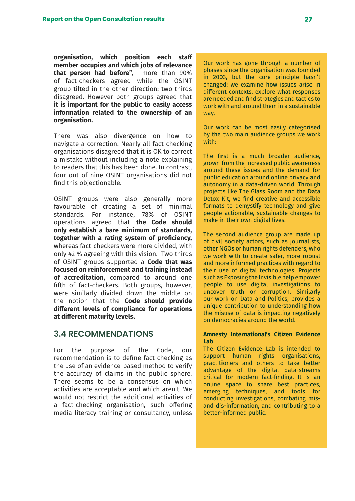<span id="page-26-0"></span>**organisation, which position each staff member occupies and which jobs of relevance that person had before",** more than 90% of fact-checkers agreed while the OSINT group tilted in the other direction: two thirds disagreed. However both groups agreed that **it is important for the public to easily access information related to the ownership of an organisation.** 

There was also divergence on how to navigate a correction. Nearly all fact-checking organisations disagreed that it is OK to correct a mistake without including a note explaining to readers that this has been done. In contrast, four out of nine OSINT organisations did not find this objectionable.

OSINT groups were also generally more favourable of creating a set of minimal standards. For instance, 78% of OSINT operations agreed that **the Code should only establish a bare minimum of standards, together with a rating system of proficiency,** whereas fact-checkers were more divided, with only 42 % agreeing with this vision. Two thirds of OSINT groups supported a **Code that was focused on reinforcement and training instead of accreditation,** compared to around one fifth of fact-checkers. Both groups, however, were similarly divided down the middle on the notion that the **Code should provide different levels of compliance for operations at different maturity levels.** 

## **3.4 RECOMMENDATIONS**

For the purpose of the Code, our recommendation is to define fact-checking as the use of an evidence-based method to verify the accuracy of claims in the public sphere. There seems to be a consensus on which activities are acceptable and which aren't. We would not restrict the additional activities of a fact-checking organisation, such offering media literacy training or consultancy, unless Our work has gone through a number of phases since the organisation was founded in 2003, but the core principle hasn't changed: we examine how issues arise in different contexts, explore what responses are needed and find strategies and tactics to work with and around them in a sustainable way.

Our work can be most easily categorised by the two main audience groups we work with:

The first is a much broader audience, grown from the increased public awareness around these issues and the demand for public education around online privacy and autonomy in a data-driven world. Through projects like The Glass Room and the Data Detox Kit, we find creative and accessible formats to demystify technology and give people actionable, sustainable changes to make in their own digital lives.

The second audience group are made up of civil society actors, such as journalists, other NGOs or human rights defenders, who we work with to create safer, more robust and more informed practices with regard to their use of digital technologies. Projects such as Exposing the Invisible help empower people to use digital investigations to uncover truth or corruption. Similarly our work on Data and Politics, provides a unique contribution to understanding how the misuse of data is impacting negatively on democracies around the world.

#### **Amnesty International's Citizen Evidence Lab**

The Citizen Evidence Lab is intended to support human rights organisations. practitioners and others to take better advantage of the digital data-streams critical for modern fact-finding. It is an online space to share best practices, emerging techniques, and tools for conducting investigations, combating misand dis-information, and contributing to a better-informed public.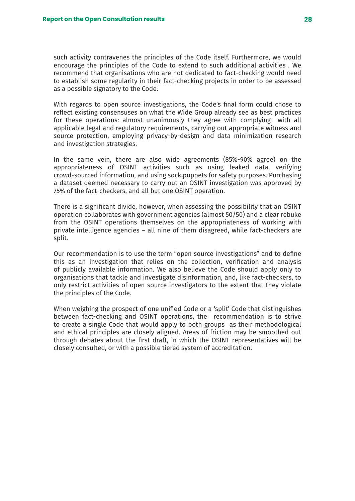such activity contravenes the principles of the Code itself. Furthermore, we would encourage the principles of the Code to extend to such additional activities . We recommend that organisations who are not dedicated to fact-checking would need to establish some regularity in their fact-checking projects in order to be assessed as a possible signatory to the Code.

With regards to open source investigations, the Code's final form could chose to reflect existing consensuses on what the Wide Group already see as best practices for these operations: almost unanimously they agree with complying with all applicable legal and regulatory requirements, carrying out appropriate witness and source protection, employing privacy-by-design and data minimization research and investigation strategies.

In the same vein, there are also wide agreements (85%-90% agree) on the appropriateness of OSINT activities such as using leaked data, verifying crowd-sourced information, and using sock puppets for safety purposes. Purchasing a dataset deemed necessary to carry out an OSINT investigation was approved by 75% of the fact-checkers, and all but one OSINT operation.

There is a significant divide, however, when assessing the possibility that an OSINT operation collaborates with government agencies (almost 50/50) and a clear rebuke from the OSINT operations themselves on the appropriateness of working with private intelligence agencies – all nine of them disagreed, while fact-checkers are split.

Our recommendation is to use the term "open source investigations" and to define this as an investigation that relies on the collection, verification and analysis of publicly available information. We also believe the Code should apply only to organisations that tackle and investigate disinformation, and, like fact-checkers, to only restrict activities of open source investigators to the extent that they violate the principles of the Code.

When weighing the prospect of one unified Code or a 'split' Code that distinguishes between fact-checking and OSINT operations, the recommendation is to strive to create a single Code that would apply to both groups as their methodological and ethical principles are closely aligned. Areas of friction may be smoothed out through debates about the first draft, in which the OSINT representatives will be closely consulted, or with a possible tiered system of accreditation.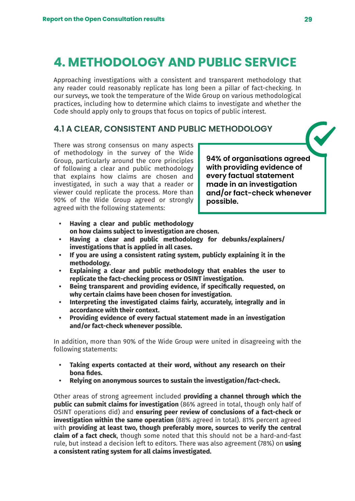# <span id="page-28-0"></span>**4. METHODOLOGY AND PUBLIC SERVICE**

Approaching investigations with a consistent and transparent methodology that any reader could reasonably replicate has long been a pillar of fact-checking. In our surveys, we took the temperature of the Wide Group on various methodological practices, including how to determine which claims to investigate and whether the Code should apply only to groups that focus on topics of public interest.

# **4.1 A CLEAR, CONSISTENT AND PUBLIC METHODOLOGY**

There was strong consensus on many aspects of methodology in the survey of the Wide Group, particularly around the core principles of following a clear and public methodology that explains how claims are chosen and investigated, in such a way that a reader or viewer could replicate the process. More than 90% of the Wide Group agreed or strongly agreed with the following statements:

**94% of organisations agreed with providing evidence of every factual statement made in an investigation and/or fact-check whenever possible.**

- **• Having a clear and public methodology on how claims subject to investigation are chosen.**
- **• Having a clear and public methodology for debunks/explainers/ investigations that is applied in all cases.**
- **• If you are using a consistent rating system, publicly explaining it in the methodology.**
- **• Explaining a clear and public methodology that enables the user to replicate the fact-checking process or OSINT investigation.**
- **• Being transparent and providing evidence, if specifically requested, on why certain claims have been chosen for investigation.**
- **• Interpreting the investigated claims fairly, accurately, integrally and in accordance with their context.**
- **• Providing evidence of every factual statement made in an investigation and/or fact-check whenever possible.**

In addition, more than 90% of the Wide Group were united in disagreeing with the following statements:

- **• Taking experts contacted at their word, without any research on their bona fides.**
- **• Relying on anonymous sources to sustain the investigation/fact-check.**

Other areas of strong agreement included **providing a channel through which the public can submit claims for investigation** (86% agreed in total, though only half of OSINT operations did) and **ensuring peer review of conclusions of a fact-check or investigation within the same operation** (88% agreed in total). 81% percent agreed with **providing at least two, though preferably more, sources to verify the central claim of a fact check**, though some noted that this should not be a hard-and-fast rule, but instead a decision left to editors. There was also agreement (78%) on **using a consistent rating system for all claims investigated.**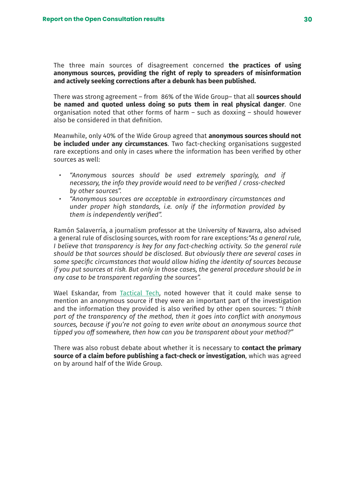The three main sources of disagreement concerned **the practices of using anonymous sources, providing the right of reply to spreaders of misinformation and actively seeking corrections after a debunk has been published.** 

There was strong agreement – from 86% of the Wide Group– that all **sources should be named and quoted unless doing so puts them in real physical danger**. One organisation noted that other forms of harm – such as doxxing – should however also be considered in that definition.

Meanwhile, only 40% of the Wide Group agreed that **anonymous sources should not be included under any circumstances**. Two fact-checking organisations suggested rare exceptions and only in cases where the information has been verified by other sources as well:

- *• "Anonymous sources should be used extremely sparingly, and if necessary, the info they provide would need to be verified / cross-checked by other sources".*
- *• "Anonymous sources are acceptable in extraordinary circumstances and under proper high standards, i.e. only if the information provided by them is independently verified".*

Ramón Salaverría, a journalism professor at the University of Navarra, also advised a general rule of disclosing sources, with room for rare exceptions:*"As a general rule, I believe that transparency is key for any fact-checking activity. So the general rule should be that sources should be disclosed. But obviously there are several cases in some specific circumstances that would allow hiding the identity of sources because if you put sources at risk. But only in those cases, the general procedure should be in any case to be transparent regarding the sources".*

Wael Eskandar, from [Tactical Tech,](https://tacticaltech.org/) noted however that it could make sense to mention an anonymous source if they were an important part of the investigation and the information they provided is also verified by other open sources: *"I think part of the transparency of the method, then it goes into conflict with anonymous sources, because if you're not going to even write about an anonymous source that tipped you off somewhere, then how can you be transparent about your method?"*

There was also robust debate about whether it is necessary to **contact the primary source of a claim before publishing a fact-check or investigation**, which was agreed on by around half of the Wide Group.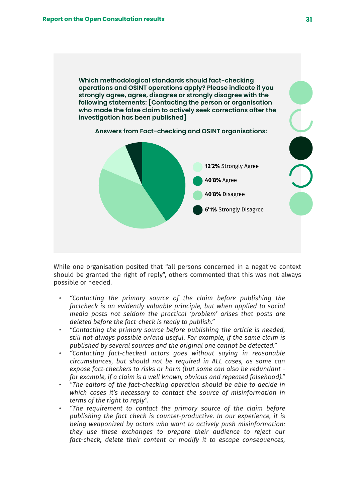**Which methodological standards should fact-checking operations and OSINT operations apply? Please indicate if you strongly agree, agree, disagree or strongly disagree with the following statements: [Contacting the person or organisation who made the false claim to actively seek corrections after the investigation has been published]**

![](_page_30_Figure_2.jpeg)

![](_page_30_Figure_3.jpeg)

While one organisation posited that "all persons concerned in a negative context should be granted the right of reply", others commented that this was not always possible or needed.

- *• "Contacting the primary source of the claim before publishing the factcheck is an evidently valuable principle, but when applied to social media posts not seldom the practical 'problem' arises that posts are deleted before the fact-check is ready to publish."*
- *• "Contacting the primary source before publishing the article is needed, still not always possible or/and useful. For example, if the same claim is published by several sources and the original one cannot be detected."*
- *• "Contacting fact-checked actors goes without saying in reasonable circumstances, but should not be required in ALL cases, as some can expose fact-checkers to risks or harm (but some can also be redundant for example, if a claim is a well known, obvious and repeated falsehood)."*
- *• "The editors of the fact-checking operation should be able to decide in which cases it's necessary to contact the source of misinformation in terms of the right to reply".*
- *• "The requirement to contact the primary source of the claim before publishing the fact check is counter-productive. In our experience, it is being weaponized by actors who want to actively push misinformation: they use these exchanges to prepare their audience to reject our fact-check, delete their content or modify it to escape consequences,*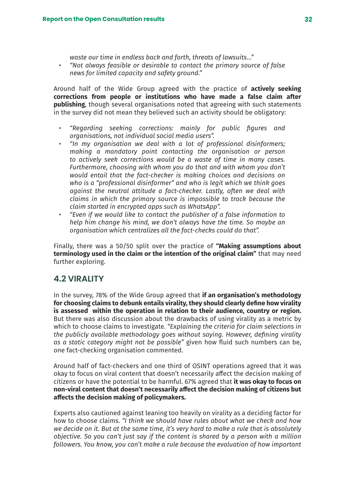*waste our time in endless back and forth, threats of lawsuits…"*

<span id="page-31-0"></span>*• "Not always feasible or desirable to contact the primary source of false news for limited capacity and safety ground."*

Around half of the Wide Group agreed with the practice of **actively seeking corrections from people or institutions who have made a false claim after publishing**, though several organisations noted that agreeing with such statements in the survey did not mean they believed such an activity should be obligatory:

- *• "Regarding seeking corrections: mainly for public figures and organisations, not individual social media users".*
- *• "In my organisation we deal with a lot of professional disinformers; making a mandatory point contacting the organisation or person to actively seek corrections would be a waste of time in many cases. Furthermore, choosing with whom you do that and with whom you don't would entail that the fact-checker is making choices and decisions on who is a "professional disinformer" and who is legit which we think goes against the neutral attitude a fact-checker. Lastly, often we deal with claims in which the primary source is impossible to track because the claim started in encrypted apps such as WhatsApp".*
- *• "Even if we would like to contact the publisher of a false information to help him change his mind, we don't always have the time. So maybe an organisation which centralizes all the fact-checks could do that".*

Finally, there was a 50/50 split over the practice of **"Making assumptions about terminology used in the claim or the intention of the original claim"** that may need further exploring.

# **4.2 VIRALITY**

In the survey, 78% of the Wide Group agreed that **if an organisation's methodology for choosing claims to debunk entails virality, they should clearly define how virality is assessed within the operation in relation to their audience, country or region.** But there was also discussion about the drawbacks of using virality as a metric by which to choose claims to investigate. *"Explaining the criteria for claim selections in the publicly available methodology goes without saying. However, defining virality as a static category might not be possible"* given how fluid such numbers can be, one fact-checking organisation commented.

Around half of fact-checkers and one third of OSINT operations agreed that it was okay to focus on viral content that doesn't necessarily affect the decision making of citizens or have the potential to be harmful. 67% agreed that **it was okay to focus on non-viral content that doesn't necessarily affect the decision making of citizens but affects the decision making of policymakers.**

Experts also cautioned against leaning too heavily on virality as a deciding factor for how to choose claims. *"I think we should have rules about what we check and how we decide on it. But at the same time, it's very hard to make a rule that is absolutely objective. So you can't just say if the content is shared by a person with a million followers. You know, you can't make a rule because the evaluation of how important*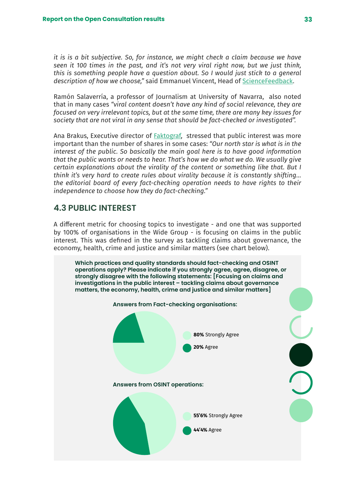<span id="page-32-0"></span>*it is is a bit subjective. So, for instance, we might check a claim because we have seen it 100 times in the past, and it's not very viral right now, but we just think, this is something people have a question about. So I would just stick to a general description of how we choose,"* said Emmanuel Vincent, Head of [ScienceFeedback](https://sciencefeedback.co/).

Ramón Salaverría, a professor of Journalism at University of Navarra, also noted that in many cases *"viral content doesn't have any kind of social relevance, they are focused on very irrelevant topics, but at the same time, there are many key issues for society that are not viral in any sense that should be fact-checked or investigated".*

Ana Brakus, Executive director of [Faktograf](https://faktograf.hr/), stressed that public interest was more important than the number of shares in some cases: *"Our north star is what is in the interest of the public. So basically the main goal here is to have good information that the public wants or needs to hear. That's how we do what we do. We usually give certain explanations about the virality of the content or something like that. But I think it's very hard to create rules about virality because it is constantly shifting… the editorial board of every fact-checking operation needs to have rights to their independence to choose how they do fact-checking."*

# **4.3 PUBLIC INTEREST**

A different metric for choosing topics to investigate - and one that was supported by 100% of organisations in the Wide Group - is focusing on claims in the public interest. This was defined in the survey as tackling claims about governance, the economy, health, crime and justice and similar matters (see chart below).

![](_page_32_Figure_6.jpeg)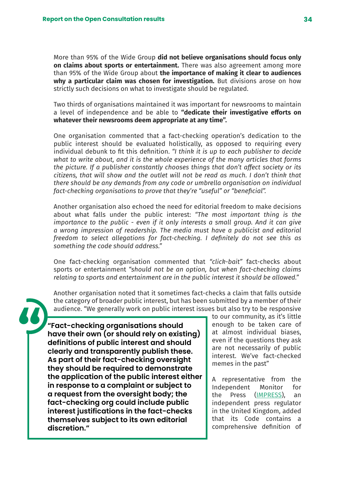More than 95% of the Wide Group **did not believe organisations should focus only on claims about sports or entertainment.** There was also agreement among more than 95% of the Wide Group about **the importance of making it clear to audiences why a particular claim was chosen for investigation.** But divisions arose on how strictly such decisions on what to investigate should be regulated.

Two thirds of organisations maintained it was important for newsrooms to maintain a level of independence and be able to **"dedicate their investigative efforts on whatever their newsrooms deem appropriate at any time".**

One organisation commented that a fact-checking operation's dedication to the public interest should be evaluated holistically, as opposed to requiring every individual debunk to fit this definition. *"I think it is up to each publisher to decide what to write about, and it is the whole experience of the many articles that forms the picture. If a publisher constantly chooses things that don't affect society or its citizens, that will show and the outlet will not be read as much. I don't think that there should be any demands from any code or umbrella organisation on individual fact-checking organisations to prove that they're "useful" or "beneficial".*

Another organisation also echoed the need for editorial freedom to make decisions about what falls under the public interest: *"The most important thing is the importance to the public - even if it only interests a small group. And it can give a wrong impression of readership. The media must have a publicist and editorial freedom to select allegations for fact-checking. I definitely do not see this as something the code should address."*

One fact-checking organisation commented that *"click-bait"* fact-checks about sports or entertainment *"should not be an option, but when fact-checking claims relating to sports and entertainment are in the public interest it should be allowed."* 

Another organisation noted that it sometimes fact-checks a claim that falls outside the category of broader public interest, but has been submitted by a member of their audience. "We generally work on public interest issues but also try to be responsive

**"Fact-checking organisations should have their own (or should rely on existing) definitions of public interest and should clearly and transparently publish these. As part of their fact-checking oversight they should be required to demonstrate the application of the public interest either in response to a complaint or subject to a request from the oversight body; the fact-checking org could include public interest justifications in the fact-checks themselves subject to its own editorial discretion."**

to our community, as it's little enough to be taken care of at almost individual biases, even if the questions they ask are not necessarily of public interest. We've fact-checked memes in the past"

A representative from the Independent Monitor for the Press [\(IMPRESS\)](https://impress.press/), an independent press regulator in the United Kingdom, added that its Code contains a comprehensive definition of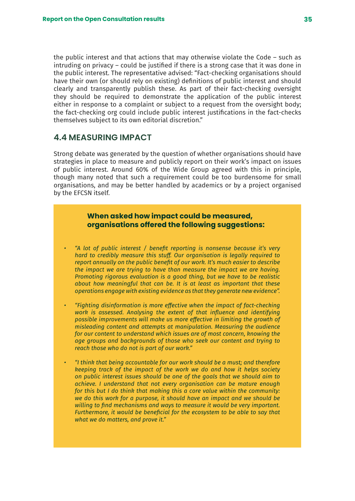<span id="page-34-0"></span>the public interest and that actions that may otherwise violate the Code – such as intruding on privacy – could be justified if there is a strong case that it was done in the public interest. The representative advised: "Fact-checking organisations should have their own (or should rely on existing) definitions of public interest and should clearly and transparently publish these. As part of their fact-checking oversight they should be required to demonstrate the application of the public interest either in response to a complaint or subject to a request from the oversight body; the fact-checking org could include public interest justifications in the fact-checks themselves subject to its own editorial discretion."

# **4.4 MEASURING IMPACT**

Strong debate was generated by the question of whether organisations should have strategies in place to measure and publicly report on their work's impact on issues of public interest. Around 60% of the Wide Group agreed with this in principle, though many noted that such a requirement could be too burdensome for small organisations, and may be better handled by academics or by a project organised by the EFCSN itself.

## **When asked how impact could be measured, organisations offered the following suggestions:**

- *• "A lot of public interest / benefit reporting is nonsense because it's very hard to credibly measure this stuff. Our organisation is legally required to report annually on the public benefit of our work. It's much easier to describe the impact we are trying to have than measure the impact we are having. Promoting rigorous evaluation is a good thing, but we have to be realistic about how meaningful that can be. It is at least as important that these operations engage with existing evidence as that they generate new evidence".*
- *• "Fighting disinformation is more effective when the impact of fact-checking work is assessed. Analysing the extent of that influence and identifying possible improvements will make us more effective in limiting the growth of misleading content and attempts at manipulation. Measuring the audience for our content to understand which issues are of most concern, knowing the age groups and backgrounds of those who seek our content and trying to reach those who do not is part of our work."*
- *• "I think that being accountable for our work should be a must; and therefore keeping track of the impact of the work we do and how it helps society on public interest issues should be one of the goals that we should aim to achieve. I understand that not every organisation can be mature enough for this but I do think that making this a core value within the community: we do this work for a purpose, it should have an impact and we should be willing to find mechanisms and ways to measure it would be very important. Furthermore, it would be beneficial for the ecosystem to be able to say that what we do matters, and prove it."*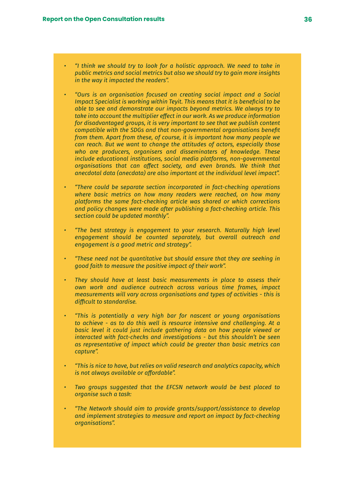- *• "I think we should try to look for a holistic approach. We need to take in public metrics and social metrics but also we should try to gain more insights in the way it impacted the readers".*
- *• "Ours is an organisation focused on creating social impact and a Social Impact Specialist is working within Teyit. This means that it is beneficial to be able to see and demonstrate our impacts beyond metrics. We always try to take into account the multiplier effect in our work. As we produce information*  for disadvantaged groups, it is very important to see that we publish content *compatible with the SDGs and that non-governmental organisations benefit from them. Apart from these, of course, it is important how many people we can reach. But we want to change the attitudes of actors, especially those who are producers, organisers and disseminaters of knowledge. These include educational institutions, social media platforms, non-governmental organisations that can affect society, and even brands. We think that anecdotal data (anecdata) are also important at the individual level impact".*
- *• "There could be separate section incorporated in fact-checking operations where basic metrics on how many readers were reached, on how many platforms the same fact-checking article was shared or which corrections and policy changes were made after publishing a fact-checking article. This section could be updated monthly".*
- *• "The best strategy is engagement to your research. Naturally high level engagement should be counted separately, but overall outreach and engagement is a good metric and strategy".*
- *• "These need not be quantitative but should ensure that they are seeking in good faith to measure the positive impact of their work".*
- *• They should have at least basic measurements in place to assess their own work and audience outreach across various time frames, impact measurements will vary across organisations and types of activities - this is difficult to standardise.*
- *• "This is potentially a very high bar for nascent or young organisations to achieve - as to do this well is resource intensive and challenging. At a basic level it could just include gathering data on how people viewed or interacted with fact-checks and investigations - but this shouldn't be seen as representative of impact which could be greater than basic metrics can capture".*
- *• "This is nice to have, but relies on valid research and analytics capacity, which is not always available or affordable".*
- *• Two groups suggested that the EFCSN network would be best placed to organise such a task:*
- *• "The Network should aim to provide grants/support/assistance to develop and implement strategies to measure and report on impact by fact-checking organisations".*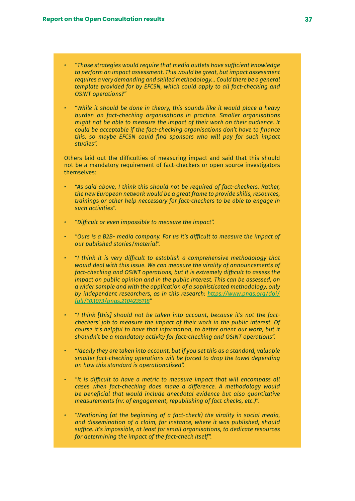- *• "Those strategies would require that media outlets have sufficient knowledge to perform an impact assessment. This would be great, but impact assessment requires a very demanding and skilled methodology... Could there be a general template provided for by EFCSN, which could apply to all fact-checking and OSINT operations?"*
- *• "While it should be done in theory, this sounds like it would place a heavy burden on fact-checking organisations in practice. Smaller organisations might not be able to measure the impact of their work on their audience. It could be acceptable if the fact-checking organisations don't have to finance this, so maybe EFCSN could find sponsors who will pay for such impact studies".*

Others laid out the difficulties of measuring impact and said that this should not be a mandatory requirement of fact-checkers or open source investigators themselves:

- *• "As said above, I think this should not be required of fact-checkers. Rather, the new European network would be a great frame to provide skills, resources, trainings or other help neccessary for fact-checkers to be able to engage in such activities".*
- *• "Difficult or even impossible to measure the impact".*
- *• "Ours is a B2B- media company. For us it's difficult to measure the impact of our published stories/material".*
- *• "I think it is very difficult to establish a comprehensive methodology that would deal with this issue. We can measure the virality of announcements of fact-checking and OSINT operations, but it is extremely difficult to assess the impact on public opinion and in the public interest. This can be assessed, on a wider sample and with the application of a sophisticated methodology, only by independent researchers, as in this research: [https://www.pnas.org/doi/](https://www.pnas.org/doi/full/10.1073/pnas.2104235118) [full/10.1073/pnas.2104235118](https://www.pnas.org/doi/full/10.1073/pnas.2104235118)"*
- *• "I think [this] should not be taken into account, because it's not the factcheckers' job to measure the impact of their work in the public interest. Of course it's helpful to have that information, to better orient our work, but it shouldn't be a mandatory activity for fact-checking and OSINT operations".*
- *• "Ideally they are taken into account, but if you set this as a standard, valuable smaller fact-checking operations will be forced to drop the towel depending on how this standard is operationalised".*
- *• "It is difficult to have a metric to measure impact that will encompass all cases when fact-checking does make a difference. A methodology would be beneficial that would include anecdotal evidence but also quantitative measurements (nr. of engagement, republishing of fact checks, etc.)".*
- *• "Mentioning (at the beginning of a fact-check) the virality in social media, and dissemination of a claim, for instance, where it was published, should suffice. It's impossible, at least for small organisations, to dedicate resources for determining the impact of the fact-check itself".*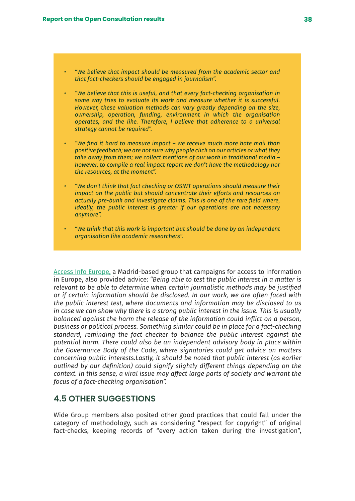- *• "We believe that impact should be measured from the academic sector and that fact-checkers should be engaged in journalism".*
- *• "We believe that this is useful, and that every fact-checking organisation in some way tries to evaluate its work and measure whether it is successful. However, these valuation methods can vary greatly depending on the size, ownership, operation, funding, environment in which the organisation operates, and the like. Therefore, I believe that adherence to a universal strategy cannot be required".*
- *• "We find it hard to measure impact we receive much more hate mail than positive feedback; we are not sure why people click on our articles or what they take away from them; we collect mentions of our work in traditional media – however, to compile a real impact report we don't have the methodology nor the resources, at the moment".*
- *• "We don't think that fact checking or OSINT operations should measure their impact on the public but should concentrate their efforts and resources on actually pre-bunk and investigate claims. This is one of the rare field where, ideally, the public interest is greater if our operations are not necessary anymore".*
- *• "We think that this work is important but should be done by an independent organisation like academic researchers".*

[Access Info Europe,](https://www.access-info.org/#) a Madrid-based group that campaigns for access to information in Europe, also provided advice: *"Being able to test the public interest in a matter is relevant to be able to determine when certain journalistic methods may be justified or if certain information should be disclosed. In our work, we are often faced with the public interest test, where documents and information may be disclosed to us in case we can show why there is a strong public interest in the issue. This is usually balanced against the harm the release of the information could inflict on a person, business or political process. Something similar could be in place for a fact-checking standard, reminding the fact checker to balance the public interest against the potential harm. There could also be an independent advisory body in place within the Governance Body of the Code, where signatories could get advice on matters concerning public interests.Lastly, it should be noted that public interest (as earlier outlined by our definition) could signify slightly different things depending on the context. In this sense, a viral issue may affect large parts of society and warrant the focus of a fact-checking organisation".*

### **4.5 OTHER SUGGESTIONS**

Wide Group members also posited other good practices that could fall under the category of methodology, such as considering "respect for copyright" of original fact-checks, keeping records of "every action taken during the investigation",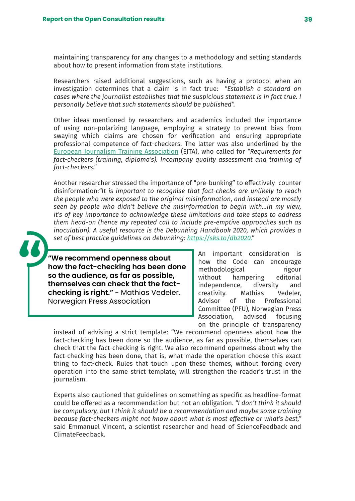maintaining transparency for any changes to a methodology and setting standards about how to present information from state institutions.

Researchers raised additional suggestions, such as having a protocol when an investigation determines that a claim is in fact true: *"Establish a standard on cases where the journalist establishes that the suspicious statement is in fact true. I personally believe that such statements should be published".*

Other ideas mentioned by researchers and academics included the importance of using non-polarizing language, employing a strategy to prevent bias from swaying which claims are chosen for verification and ensuring appropriate professional competence of fact-checkers. The latter was also underlined by the [European Journalism Training Association](https://www.ejta.eu/) (EJTA), who called for *"Requirements for fact-checkers (training, diploma's). Incompany quality assessment and training of fact-checkers."* 

Another researcher stressed the importance of "pre-bunking" to effectively counter disinformation:*"It is important to recognise that fact-checks are unlikely to reach the people who were exposed to the original misinformation, and instead are mostly seen by people who didn't believe the misinformation to begin with…In my view, it's of key importance to acknowledge these limitations and take steps to address them head-on (hence my repeated call to include pre-emptive approaches such as inoculation). A useful resource is the Debunking Handbook 2020, which provides a set of best practice guidelines on debunking: [https://sks.to/db2020.](https://sks.to/db2020)"*

**"We recommend openness about how the fact-checking has been done so the audience, as far as possible, themselves can check that the factchecking is right."** - Mathias Vedeler, Norwegian Press Association

An important consideration is how the Code can encourage methodological rigour without hampering editorial independence, diversity and creativity. Mathias Vedeler, Advisor of the Professional Committee (PFU), Norwegian Press Association, advised focusing on the principle of transparency

instead of advising a strict template: "We recommend openness about how the fact-checking has been done so the audience, as far as possible, themselves can check that the fact-checking is right. We also recommend openness about why the fact-checking has been done, that is, what made the operation choose this exact thing to fact-check. Rules that touch upon these themes, without forcing every operation into the same strict template, will strengthen the reader's trust in the journalism.

Experts also cautioned that guidelines on something as specific as headline-format could be offered as a recommendation but not an obligation. *"I don't think it should be compulsory, but I think it should be a recommendation and maybe some training because fact-checkers might not know about what is most effective or what's best,"* said Emmanuel Vincent, a scientist researcher and head of ScienceFeedback and ClimateFeedback.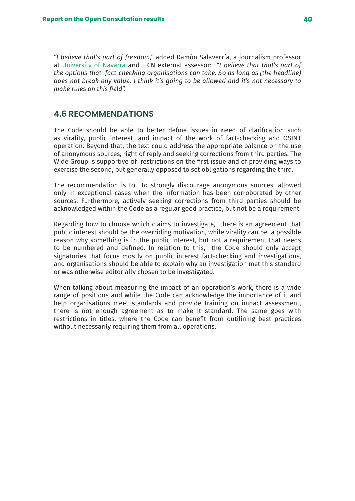*"I believe that's part of freedom,"* added Ramón Salaverría, a journalism professor at [University of Navarra](https://www.unav.edu/web/facultad-de-comunicacion/profesores-e-investigacion/digitalunav) and IFCN external assessor: *"I believe that that's part of the options that fact-checking organisations can take. So as long as [the headline] does not break any value, I think it's going to be allowed and it's not necessary to make rules on this field".*

### **4.6 RECOMMENDATIONS**

The Code should be able to better define issues in need of clarification such as virality, public interest, and impact of the work of fact-checking and OSINT operation. Beyond that, the text could address the appropriate balance on the use of anonymous sources, right of reply and seeking corrections from third parties. The Wide Group is supportive of restrictions on the first issue and of providing ways to exercise the second, but generally opposed to set obligations regarding the third.

The recommendation is to to strongly discourage anonymous sources, allowed only in exceptional cases when the information has been corroborated by other sources. Furthermore, actively seeking corrections from third parties should be acknowledged within the Code as a regular good practice, but not be a requirement.

Regarding how to choose which claims to investigate, there is an agreement that public interest should be the overriding motivation, while virality can be a possible reason why something is in the public interest, but not a requirement that needs to be numbered and defined. In relation to this, the Code should only accept signatories that focus mostly on public interest fact-checking and investigations, and organisations should be able to explain why an investigation met this standard or was otherwise editorially chosen to be investigated.

When talking about measuring the impact of an operation's work, there is a wide range of positions and while the Code can acknowledge the importance of it and help organisations meet standards and provide training on impact assessment, there is not enough agreement as to make it standard. The same goes with restrictions in titles, where the Code can benefit from outilining best practices without necessarily requiring them from all operations.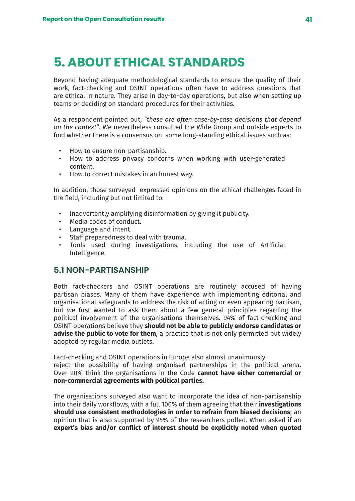# **5. ABOUT ETHICAL STANDARDS**

Beyond having adequate methodological standards to ensure the quality of their work, fact-checking and OSINT operations often have to address questions that are ethical in nature. They arise in day-to-day operations, but also when setting up teams or deciding on standard procedures for their activities.

As a respondent pointed out, *"these are often case-by-case decisions that depend on the context"*. We nevertheless consulted the Wide Group and outside experts to find whether there is a consensus on some long-standing ethical issues such as:

- How to ensure non-partisanship.
- How to address privacy concerns when working with user-generated content.
- How to correct mistakes in an honest way.

In addition, those surveyed expressed opinions on the ethical challenges faced in the field, including but not limited to:

- Inadvertently amplifying disinformation by giving it publicity.
- Media codes of conduct.
- Language and intent.
- Staff preparedness to deal with trauma.
- Tools used during investigations, including the use of Artificial Intelligence.

## **5.1 NON-PARTISANSHIP**

Both fact-checkers and OSINT operations are routinely accused of having partisan biases. Many of them have experience with implementing editorial and organisational safeguards to address the risk of acting or even appearing partisan, but we first wanted to ask them about a few general principles regarding the political involvement of the organisations themselves. 94% of fact-checking and OSINT operations believe they **should not be able to publicly endorse candidates or advise the public to vote for them**, a practice that is not only permitted but widely adopted by regular media outlets.

Fact-checking and OSINT operations in Europe also almost unanimously reject the possibility of having organised partnerships in the political arena. Over 90% think the organisations in the Code **cannot have either commercial or non-commercial agreements with political parties.**

The organisations surveyed also want to incorporate the idea of non-partisanship into their daily workflows, with a full 100% of them agreeing that their **investigations should use consistent methodologies in order to refrain from biased decisions**; an opinion that is also supported by 95% of the researchers polled. When asked if an **expert's bias and/or conflict of interest should be explicitly noted when quoted**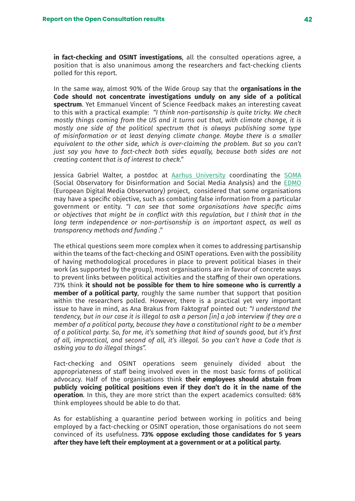**in fact-checking and OSINT investigations**, all the consulted operations agree, a position that is also unanimous among the researchers and fact-checking clients polled for this report.

In the same way, almost 90% of the Wide Group say that the **organisations in the Code should not concentrate investigations unduly on any side of a political spectrum**. Yet Emmanuel Vincent of Science Feedback makes an interesting caveat to this with a practical example: *"I think non-partisanship is quite tricky. We check mostly things coming from the US and it turns out that, with climate change, it is mostly one side of the political spectrum that is always publishing some type of misinformation or at least denying climate change. Maybe there is a smaller equivalent to the other side, which is over-claiming the problem. But so you can't just say you have to fact-check both sides equally, because both sides are not creating content that is of interest to check."*

Jessica Gabriel Walter, a postdoc at [Aarhus University](https://international.au.dk/) coordinating the [SOMA](https://www.disinfobservatory.org/) (Social Observatory for Disinformation and Social Media Analysis) and the [EDMO](https://digital-strategy.ec.europa.eu/en/policies/european-digital-media-observatory) (European Digital Media Observatory) project, considered that some organisations may have a specific objective, such as combating false information from a particular government or entity. *"I can see that some organisations have specific aims or objectives that might be in conflict with this regulation, but I think that in the long term independence or non-partisanship is an important aspect, as well as transparency methods and funding ."*

The ethical questions seem more complex when it comes to addressing partisanship within the teams of the fact-checking and OSINT operations. Even with the possibility of having methodological procedures in place to prevent political biases in their work (as supported by the group), most organisations are in favour of concrete ways to prevent links between political activities and the staffing of their own operations. 73% think **it should not be possible for them to hire someone who is currently a member of a political party**, roughly the same number that support that position within the researchers polled. However, there is a practical yet very important issue to have in mind, as Ana Brakus from Faktograf pointed out: *"I understand the tendency, but in our case it is illegal to ask a person [in] a job interview if they are a member of a political party, because they have a constitutional right to be a member of a political party. So, for me, it's something that kind of sounds good, but it's first of all, impractical, and second of all, it's illegal. So you can't have a Code that is asking you to do illegal things".*

Fact-checking and OSINT operations seem genuinely divided about the appropriateness of staff being involved even in the most basic forms of political advocacy. Half of the organisations think **their employees should abstain from publicly voicing political positions even if they don't do it in the name of the operation**. In this, they are more strict than the expert academics consulted: 68% think employees should be able to do that.

As for establishing a quarantine period between working in politics and being employed by a fact-checking or OSINT operation, those organisations do not seem convinced of its usefulness. **73% oppose excluding those candidates for 5 years after they have left their employment at a government or at a political party.**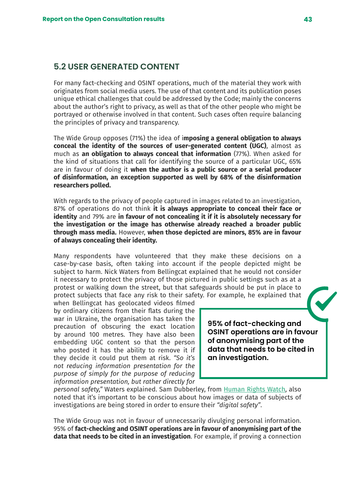## **5.2 USER GENERATED CONTENT**

For many fact-checking and OSINT operations, much of the material they work with originates from social media users. The use of that content and its publication poses unique ethical challenges that could be addressed by the Code; mainly the concerns about the author's right to privacy, as well as that of the other people who might be portrayed or otherwise involved in that content. Such cases often require balancing the principles of privacy and transparency.

The Wide Group opposes (71%) the idea of i**mposing a general obligation to always conceal the identity of the sources of user-generated content (UGC)**, almost as much as **an obligation to always conceal that information** (77%). When asked for the kind of situations that call for identifying the source of a particular UGC, 65% are in favour of doing it **when the author is a public source or a serial producer of disinformation, an exception supported as well by 68% of the disinformation researchers polled.**

With regards to the privacy of people captured in images related to an investigation, 87% of operations do not think **it is always appropriate to conceal their face or identity** and 79% are **in favour of not concealing it if it is absolutely necessary for the investigation or the image has otherwise already reached a broader public through mass media.** However, **when those depicted are minors, 85% are in favour of always concealing their identity.** 

Many respondents have volunteered that they make these decisions on a case-by-case basis, often taking into account if the people depicted might be subject to harm. Nick Waters from Bellingcat explained that he would not consider it necessary to protect the privacy of those pictured in public settings such as at a protest or walking down the street, but that safeguards should be put in place to protect subjects that face any risk to their safety. For example, he explained that

when Bellingcat has geolocated videos filmed by ordinary citizens from their flats during the war in Ukraine, the organisation has taken the precaution of obscuring the exact location by around 100 metres. They have also been embedding UGC content so that the person who posted it has the ability to remove it if they decide it could put them at risk. *"So it's not reducing information presentation for the purpose of simply for the purpose of reducing information presentation, but rather directly for* 

**95% of fact-checking and OSINT operations are in favour of anonymising part of the data that needs to be cited in an investigation.**

*personal safety,"* Waters explained. Sam Dubberley, from [Human Rights Watch,](https://www.hrw.org/es) also noted that it's important to be conscious about how images or data of subjects of investigations are being stored in order to ensure their *"digital safety"*.

The Wide Group was not in favour of unnecessarily divulging personal information. 95% of **fact-checking and OSINT operations are in favour of anonymising part of the data that needs to be cited in an investigation**. For example, if proving a connection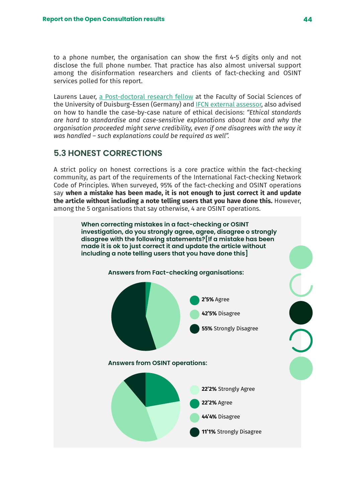to a phone number, the organisation can show the first 4-5 digits only and not disclose the full phone number. That practice has also almost universal support among the disinformation researchers and clients of fact-checking and OSINT services polled for this report.

Laurens Lauer, [a Post-doctoral research fellow](https://www.uni-due.de/soziologie/lauer.php) at the Faculty of Social Sciences of the University of Duisburg-Essen (Germany) and [IFCN external assessor](https://ifcncodeofprinciples.poynter.org/external-assessors/laurens-lauer), also advised on how to handle the case-by-case nature of ethical decisions: *"Ethical standards are hard to standardise and case-sensitive explanations about how and why the organisation proceeded might serve credibility, even if one disagrees with the way it was handled – such explanations could be required as well".*

## **5.3 HONEST CORRECTIONS**

A strict policy on honest corrections is a core practice within the fact-checking community, as part of the requirements of the International Fact-checking Network Code of Principles. When surveyed, 95% of the fact-checking and OSINT operations say **when a mistake has been made, it is not enough to just correct it and update the article without including a note telling users that you have done this.** However, among the 5 organisations that say otherwise, 4 are OSINT operations.

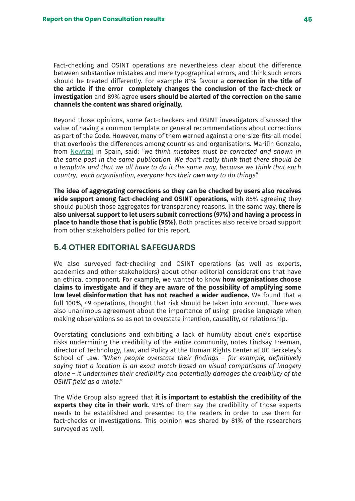Fact-checking and OSINT operations are nevertheless clear about the difference between substantive mistakes and mere typographical errors, and think such errors should be treated differently. For example 81% favour a **correction in the title of the article if the error completely changes the conclusion of the fact-check or investigation** and 89% agree **users should be alerted of the correction on the same channels the content was shared originally.**

Beyond those opinions, some fact-checkers and OSINT investigators discussed the value of having a common template or general recommendations about corrections as part of the Code. However, many of them warned against a one-size-fits-all model that overlooks the differences among countries and organisations. Marilín Gonzalo, from [Newtral](https://www.newtral.es/) in Spain, said: *"we think mistakes must be corrected and shown in the same post in the same publication. We don't really think that there should be a template and that we all have to do it the same way, because we think that each country, each organisation, everyone has their own way to do things".*

**The idea of aggregating corrections so they can be checked by users also receives wide support among fact-checking and OSINT operations**, with 85% agreeing they should publish those aggregates for transparency reasons. In the same way, **there is also universal support to let users submit corrections (97%) and having a process in place to handle those that is public (95%)**. Both practices also receive broad support from other stakeholders polled for this report.

## **5.4 OTHER EDITORIAL SAFEGUARDS**

We also surveyed fact-checking and OSINT operations (as well as experts, academics and other stakeholders) about other editorial considerations that have an ethical component. For example, we wanted to know **how organisations choose claims to investigate and if they are aware of the possibility of amplifying some low level disinformation that has not reached a wider audience.** We found that a full 100%, 49 operations, thought that risk should be taken into account. There was also unanimous agreement about the importance of using precise language when making observations so as not to overstate intention, causality, or relationship.

Overstating conclusions and exhibiting a lack of humility about one's expertise risks undermining the credibility of the entire community, notes Lindsay Freeman, director of Technology, Law, and Policy at the Human Rights Center at UC Berkeley's School of Law. *"When people overstate their findings – for example, definitively saying that a location is an exact match based on visual comparisons of imagery alone – it undermines their credibility and potentially damages the credibility of the OSINT field as a whole."*

The Wide Group also agreed that **it is important to establish the credibility of the experts they cite in their work**. 93% of them say the credibility of those experts needs to be established and presented to the readers in order to use them for fact-checks or investigations. This opinion was shared by 81% of the researchers surveyed as well.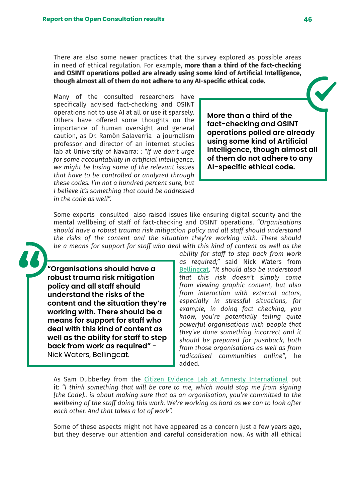There are also some newer practices that the survey explored as possible areas in need of ethical regulation. For example, **more than a third of the fact-checking and OSINT operations polled are already using some kind of Artificial Intelligence, though almost all of them do not adhere to any AI-specific ethical code.**

Many of the consulted researchers have specifically advised fact-checking and OSINT operations not to use AI at all or use it sparsely. Others have offered some thoughts on the importance of human oversight and general caution, as Dr. Ramón Salaverría a journalism professor and director of an internet studies lab at University of Navarra: : *"If we don't urge for some accountability in artificial intelligence, we might be losing some of the relevant issues that have to be controlled or analyzed through these codes. I'm not a hundred percent sure, but I believe it's something that could be addressed in the code as well".*

**More than a third of the fact-checking and OSINT operations polled are already using some kind of Artificial Intelligence, though almost all of them do not adhere to any AI-specific ethical code.**

Some experts consulted also raised issues like ensuring digital security and the mental wellbeing of staff of fact-checking and OSINT operations. *"Organisations should have a robust trauma risk mitigation policy and all staff should understand the risks of the content and the situation they're working with. There should be a means for support for staff who deal with this kind of content as well as the* 

**"Organisations should have a robust trauma risk mitigation policy and all staff should understand the risks of the content and the situation they're working with. There should be a means for support for staff who deal with this kind of content as well as the ability for staff to step back from work as required"** - Nick Waters, Bellingcat.

*ability for staff to step back from work as required,"* said Nick Waters from [Bellingcat](https://es.bellingcat.com/). *"It should also be understood that this risk doesn't simply come from viewing graphic content, but also from interaction with external actors, especially in stressful situations, for example, in doing fact checking, you know, you're potentially telling quite powerful organisations with people that they've done something incorrect and it should be prepared for pushback, both from those organisations as well as from radicalised communities online"*, he added.

As Sam Dubberley from the [Citizen Evidence Lab at Amnesty International](https://citizenevidence.org/) put it: *"I think something that will be core to me, which would stop me from signing [the Code].. is about making sure that as an organisation, you're committed to the wellbeing of the staff doing this work. We're working as hard as we can to look after each other. And that takes a lot of work".*

Some of these aspects might not have appeared as a concern just a few years ago, but they deserve our attention and careful consideration now. As with all ethical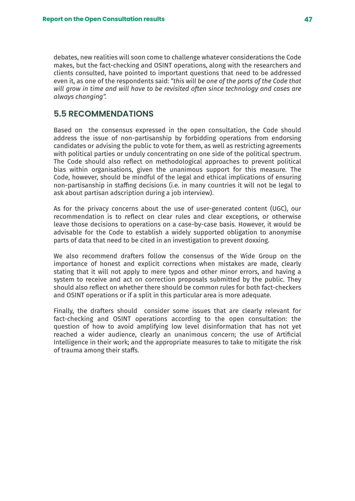debates, new realities will soon come to challenge whatever considerations the Code makes, but the fact-checking and OSINT operations, along with the researchers and clients consulted, have pointed to important questions that need to be addressed even it, as one of the respondents said: *"this will be one of the parts of the Code that will grow in time and will have to be revisited often since technology and cases are always changing".*

## **5.5 RECOMMENDATIONS**

Based on the consensus expressed in the open consultation, the Code should address the issue of non-partisanship by forbidding operations from endorsing candidates or advising the public to vote for them, as well as restricting agreements with political parties or unduly concentrating on one side of the political spectrum. The Code should also reflect on methodological approaches to prevent political bias within organisations, given the unanimous support for this measure. The Code, however, should be mindful of the legal and ethical implications of ensuring non-partisanship in staffing decisions (i.e. in many countries it will not be legal to ask about partisan adscription during a job interview).

As for the privacy concerns about the use of user-generated content (UGC), our recommendation is to reflect on clear rules and clear exceptions, or otherwise leave those decisions to operations on a case-by-case basis. However, it would be advisable for the Code to establish a widely supported obligation to anonymise parts of data that need to be cited in an investigation to prevent doxxing.

We also recommend drafters follow the consensus of the Wide Group on the importance of honest and explicit corrections when mistakes are made, clearly stating that it will not apply to mere typos and other minor errors, and having a system to receive and act on correction proposals submitted by the public. They should also reflect on whether there should be common rules for both fact-checkers and OSINT operations or if a split in this particular area is more adequate.

Finally, the drafters should consider some issues that are clearly relevant for fact-checking and OSINT operations according to the open consultation: the question of how to avoid amplifying low level disinformation that has not yet reached a wider audience, clearly an unanimous concern; the use of Artificial Intelligence in their work; and the appropriate measures to take to mitigate the risk of trauma among their staffs.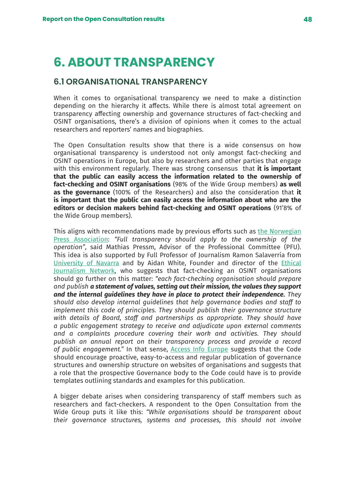# **6. ABOUT TRANSPARENCY**

## **6.1 ORGANISATIONAL TRANSPARENCY**

When it comes to organisational transparency we need to make a distinction depending on the hierarchy it affects. While there is almost total agreement on transparency affecting ownership and governance structures of fact-checking and OSINT organisations, there's a division of opinions when it comes to the actual researchers and reporters' names and biographies.

The Open Consultation results show that there is a wide consensus on how organisational transparency is understood not only amongst fact-checking and OSINT operations in Europe, but also by researchers and other parties that engage with this environment regularly. There was strong consensus that **it is important that the public can easily access the information related to the ownership of fact-checking and OSINT organisations** (98% of the Wide Group members) **as well as the governance** (100% of the Researchers) and also the consideration that **it is important that the public can easily access the information about who are the editors or decision makers behind fact-checking and OSINT operations** (91'8% of the Wide Group members).

This aligns with recommendations made by previous efforts such as [the Norwegian](https://presse.no/) [Press Association](https://presse.no/): *"Full transparency should apply to the ownership of the operation"*, said Mathias Pressm, Advisor of the Professional Committee (PFU). This idea is also supported by Full Professor of Journalism Ramon Salaverría from [University of Navarra](https://www.unav.edu/web/facultad-de-comunicacion/profesores-e-investigacion/digitalunav) and by Aidan White, Founder and director of the [Ethical](https://ethicaljournalismnetwork.org/) [Journalism Network](https://ethicaljournalismnetwork.org/), who suggests that fact-checking an OSINT organisations should go further on this matter: *"each fact-checking organisation should prepare and publish a statement of values, setting out their mission, the values they support and the internal guidelines they have in place to protect their independence. They should also develop internal guidelines that help governance bodies and staff to implement this code of principles. They should publish their governance structure with details of Board, staff and partnerships as appropriate. They should have a public engagement strategy to receive and adjudicate upon external comments and a complaints procedure covering their work and activities. They should publish an annual report on their transparency process and provide a record of public engagement."* In that sense, [Access Info Europe](https://www.access-info.org/#) suggests that the Code should encourage proactive, easy-to-access and regular publication of governance structures and ownership structure on websites of organisations and suggests that a role that the prospective Governance body to the Code could have is to provide templates outlining standards and examples for this publication.

A bigger debate arises when considering transparency of staff members such as researchers and fact-checkers. A respondent to the Open Consultation from the Wide Group puts it like this: *"While organisations should be transparent about their governance structures, systems and processes, this should not involve*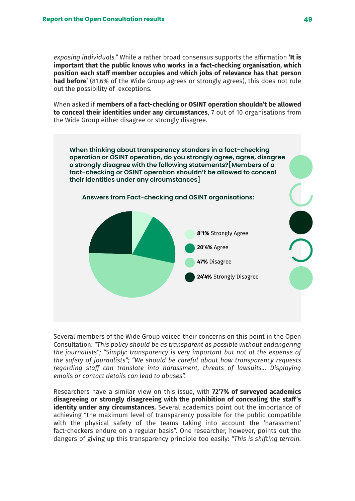*exposing individuals."* While a rather broad consensus supports the affirmation **'It is important that the public knows who works in a fact-checking organisation, which position each staff member occupies and which jobs of relevance has that person had before'** (81,6% of the Wide Group agrees or strongly agrees), this does not rule out the possibility of exceptions.

When asked if **members of a fact-checking or OSINT operation shouldn't be allowed to conceal their identities under any circumstances**, 7 out of 10 organisations from the Wide Group either disagree or strongly disagree.



Several members of the Wide Group voiced their concerns on this point in the Open Consultation: *"This policy should be as transparent as possible without endangering the journalists"; "Simply: transparency is very important but not at the expense of the safety of journalists"; "We should be careful about how transparency requests regarding staff can translate into harassment, threats of lawsuits... Displaying emails or contact details can lead to abuses".*

Researchers have a similar view on this issue, with **72'7% of surveyed academics disagreeing or strongly disagreeing with the prohibition of concealing the staff's identity under any circumstances.** Several academics point out the importance of achieving "the maximum level of transparency possible for the public compatible with the physical safety of the teams taking into account the 'harassment' fact-checkers endure on a regular basis". One researcher, however, points out the dangers of giving up this transparency principle too easily: *"This is shifting terrain.*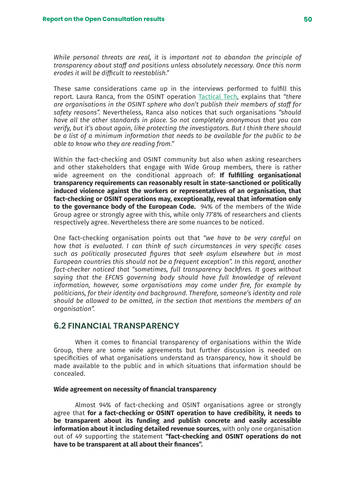*While personal threats are real, it is important not to abandon the principle of transparency about staff and positions unless absolutely necessary. Once this norm erodes it will be difficult to reestablish."*

These same considerations came up in the interviews performed to fulfill this report. Laura Ranca, from the OSINT operation [Tactical Tech,](https://tacticaltech.org/) explains that *"there are organisations in the OSINT sphere who don't publish their members of staff for safety reasons".* Nevertheless, Ranca also notices that such organisations *"should have all the other standards in place. So not completely anonymous that you can verify, but it's about again, like protecting the investigators. But I think there should be a list of a minimum information that needs to be available for the public to be able to know who they are reading from."*

Within the fact-checking and OSINT community but also when asking researchers and other stakeholders that engage with Wide Group members, there is rather wide agreement on the conditional approach of: **If fulfilling organisational transparency requirements can reasonably result in state-sanctioned or politically induced violence against the workers or representatives of an organisation, that fact-checking or OSINT operations may, exceptionally, reveal that information only to the governance body of the European Code.** 94% of the members of the Wide Group agree or strongly agree with this, while only 77'8% of researchers and clients respectively agree. Nevertheless there are some nuances to be noticed.

One fact-checking organisation points out that *"we have to be very careful on how that is evaluated. I can think of such circumstances in very specific cases such as politically prosecuted figures that seek asylum elsewhere but in most European countries this should not be a frequent exception". In this regard, another fact-checker noticed that "sometimes, full transparency backfires. It goes without saying that the EFCNS governing body should have full knowledge of relevant information, however, some organisations may come under fire, for example by politicians, for their identity and background. Therefore, someone's identity and role should be allowed to be omitted, in the section that mentions the members of an organisation".* 

## **6.2 FINANCIAL TRANSPARENCY**

When it comes to financial transparency of organisations within the Wide Group, there are some wide agreements but further discussion is needed on specificities of what organisations understand as transparency, how it should be made available to the public and in which situations that information should be concealed.

#### **Wide agreement on necessity of financial transparency**

Almost 94% of fact-checking and OSINT organisations agree or strongly agree that **for a fact-checking or OSINT operation to have credibility, it needs to be transparent about its funding and publish concrete and easily accessible information about it including detailed revenue sources**, with only one organisation out of 49 supporting the statement **"fact-checking and OSINT operations do not have to be transparent at all about their finances".**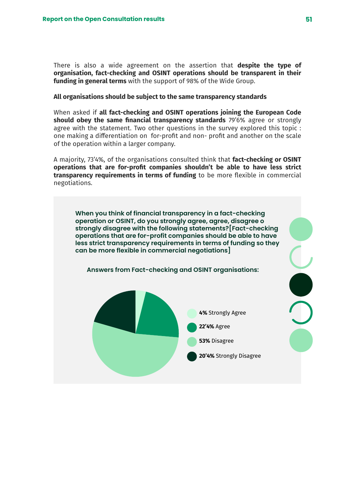There is also a wide agreement on the assertion that **despite the type of organisation, fact-checking and OSINT operations should be transparent in their funding in general terms** with the support of 98% of the Wide Group.

#### **All organisations should be subject to the same transparency standards**

When asked if **all fact-checking and OSINT operations joining the European Code should obey the same financial transparency standards** 79'6% agree or strongly agree with the statement. Two other questions in the survey explored this topic : one making a differentiation on for-profit and non- profit and another on the scale of the operation within a larger company.

A majority, 73'4%, of the organisations consulted think that **fact-checking or OSINT operations that are for-profit companies shouldn't be able to have less strict transparency requirements in terms of funding** to be more flexible in commercial negotiations.

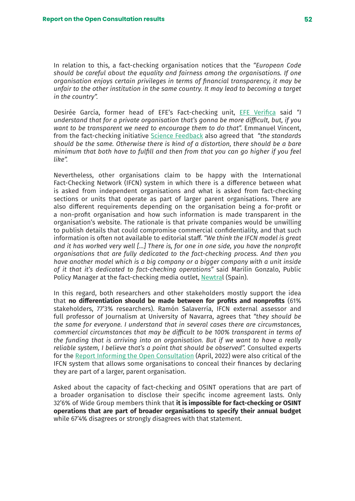In relation to this, a fact-checking organisation notices that the *"European Code should be careful about the equality and fairness among the organisations. If one organisation enjoys certain privileges in terms of financial transparency, it may be unfair to the other institution in the same country. It may lead to becoming a target in the country".* 

Desirée García, former head of EFE's Fact-checking unit, [EFE Verifica](https://verifica.efe.com/) said *"I understand that for a private organisation that's gonna be more difficult, but, if you want to be transparent we need to encourage them to do that".* Emmanuel Vincent, from the fact-checking initiative [Science Feedback](https://sciencefeedback.co/) also agreed that *"the standards should be the same. Otherwise there is kind of a distortion, there should be a bare minimum that both have to fulfill and then from that you can go higher if you feel like".* 

Nevertheless, other organisations claim to be happy with the International Fact-Checking Network (IFCN) system in which there is a difference between what is asked from independent organisations and what is asked from fact-checking sections or units that operate as part of larger parent organisations. There are also different requirements depending on the organisation being a for-profit or a non-profit organisation and how such information is made transparent in the organisation's website. The rationale is that private companies would be unwilling to publish details that could compromise commercial confidentiality, and that such information is often not available to editorial staff. *"We think the IFCN model is great and it has worked very well [...] There is, for one in one side, you have the nonprofit organisations that are fully dedicated to the fact-checking process. And then you have another model which is a big company or a bigger company with a unit inside of it that it's dedicated to fact-checking operations"* said Marilín Gonzalo, Public Policy Manager at the fact-checking media outlet, [Newtral](https://www.newtral.es/) (Spain).

In this regard, both researchers and other stakeholders mostly support the idea that **no differentiation should be made between for profits and nonprofits** (61% stakeholders, 77'3% researchers). Ramón Salaverría, IFCN external assessor and full professor of Journalism at University of Navarra, agrees that *"they should be the same for everyone. I understand that in several cases there are circumstances, commercial circumstances that may be difficult to be 100% transparent in terms of the funding that is arriving into an organisation. But if we want to have a really reliable system, I believe that's a point that should be observed".* Consulted experts for the [Report Informing the Open Consultation](https://drive.google.com/file/d/1X3ctZBXjv5XmOsKboVhuIhlGvixxmEoG/view?usp=sharing) (April, 2022) were also critical of the IFCN system that allows some organisations to conceal their finances by declaring they are part of a larger, parent organisation.

Asked about the capacity of fact-checking and OSINT operations that are part of a broader organisation to disclose their specific income agreement lasts. Only 32'6% of Wide Group members think that **it is impossible for fact-checking or OSINT operations that are part of broader organisations to specify their annual budget**  while 67'4% disagrees or strongly disagrees with that statement.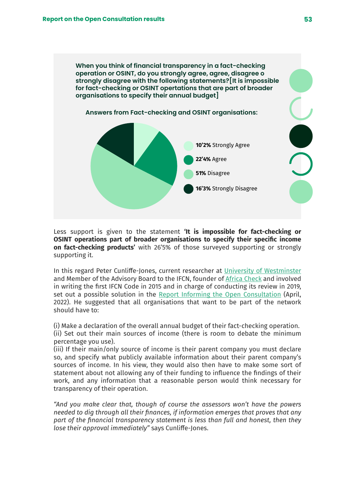**When you think of financial transparency in a fact-checking operation or OSINT, do you strongly agree, agree, disagree o strongly disagree with the following statements?[It is impossible for fact-checking or OSINT opertations that are part of broader organisations to specify their annual budget]**



Less support is given to the statement **'It is impossible for fact-checking or OSINT operations part of broader organisations to specify their specific income on fact-checking products'** with 26'5% of those surveyed supporting or strongly supporting it.

In this regard Peter Cunliffe-Jones, current researcher at [University of Westminster](https://www.westminster.ac.uk/) and Member of the Advisory Board to the IFCN, founder of [Africa Check](https://africacheck.org/) and involved in writing the first IFCN Code in 2015 and in charge of conducting its review in 2019, set out a possible solution in the [Report Informing the Open Consultation](http://Report Informing the Open Consultation) (April, 2022). He suggested that all organisations that want to be part of the network should have to:

(i) Make a declaration of the overall annual budget of their fact-checking operation. (ii) Set out their main sources of income (there is room to debate the minimum percentage you use).

(iii) If their main/only source of income is their parent company you must declare so, and specify what publicly available information about their parent company's sources of income. In his view, they would also then have to make some sort of statement about not allowing any of their funding to influence the findings of their work, and any information that a reasonable person would think necessary for transparency of their operation.

*"And you make clear that, though of course the assessors won't have the powers needed to dig through all their finances, if information emerges that proves that any part of the financial transparency statement is less than full and honest, then they lose their approval immediately"* says Cunliffe-Jones.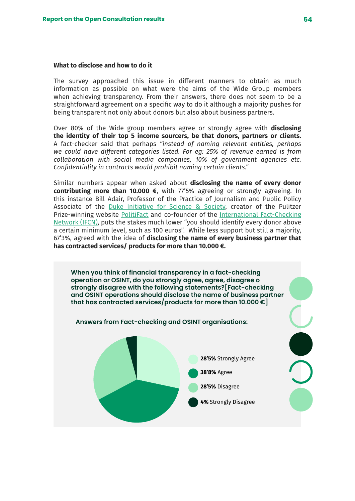#### **What to disclose and how to do it**

The survey approached this issue in different manners to obtain as much information as possible on what were the aims of the Wide Group members when achieving transparency. From their answers, there does not seem to be a straightforward agreement on a specific way to do it although a majority pushes for being transparent not only about donors but also about business partners.

Over 80% of the Wide group members agree or strongly agree with **disclosing the identity of their top 5 income sourcers, be that donors, partners or clients.** A fact-checker said that perhaps *"instead of naming relevant entities, perhaps we could have different categories listed. For eg: 25% of revenue earned is from collaboration with social media companies, 10% of government agencies etc. Confidentiality in contracts would prohibit naming certain clients."*

Similar numbers appear when asked about **disclosing the name of every donor contributing more than 10.000 €**, with 77'5% agreeing or strongly agreeing. In this instance Bill Adair, Professor of the Practice of Journalism and Public Policy Associate of the [Duke Initiative for Science & Society,](https://scienceandsociety.duke.edu/) creator of the Pulitzer Prize-winning website [PolitiFact](https://www.politifact.com/factchecks/2022/feb/25/tweets/there-are-no-us-run-biolabs-ukraine-contrary-socia/) and co-founder of the [International Fact-Checking](https://www.poynter.org/ifcn/) [Network \(IFCN\),](https://www.poynter.org/ifcn/) puts the stakes much lower "you should identify every donor above a certain minimum level, such as 100 euros". While less support but still a majority, 67'3%, agreed with the idea of **disclosing the name of every business partner that has contracted services/ products for more than 10.000 €.**

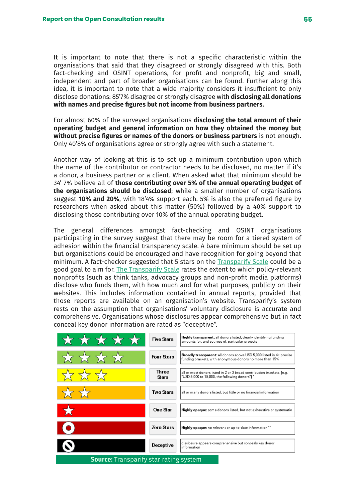It is important to note that there is not a specific characteristic within the organisations that said that they disagreed or strongly disagreed with this. Both fact-checking and OSINT operations, for profit and nonprofit, big and small, independent and part of broader organisations can be found. Further along this idea, it is important to note that a wide majority considers it insufficient to only disclose donations: 85'7% disagree or strongly disagree with **disclosing all donations with names and precise figures but not income from business partners.** 

For almost 60% of the surveyed organisations **disclosing the total amount of their operating budget and general information on how they obtained the money but without precise figures or names of the donors or business partners** is not enough. Only 40'8% of organisations agree or strongly agree with such a statement.

Another way of looking at this is to set up a minimum contribution upon which the name of the contributor or contractor needs to be disclosed, no matter if it's a donor, a business partner or a client. When asked what that minimum should be 34' 7% believe all of **those contributing over 5% of the annual operating budget of the organisations should be disclosed**; while a smaller number of organisations suggest **10% and 20%**, with 18'4% support each. 5% is also the preferred figure by researchers when asked about this matter (50%) followed by a 40% support to disclosing those contributing over 10% of the annual operating budget.

The general differences amongst fact-checking and OSINT organisations participating in the survey suggest that there may be room for a tiered system of adhesion within the financial transparency scale. A bare minimum should be set up but organisations could be encouraged and have recognition for going beyond that minimum. A fact-checker suggested that 5 stars on the [Transparify Scale](https://www.transparify.org/our-methodology) could be a good goal to aim for. [The Transparify Scale](https://www.transparify.org/our-methodology) rates the extent to which policy-relevant nonprofits (such as think tanks, advocacy groups and non-profit media platforms) disclose who funds them, with how much and for what purposes, publicly on their websites. This includes information contained in annual reports, provided that those reports are available on an organisation's website. Transparify's system rests on the assumption that organisations' voluntary disclosure is accurate and comprehensive. Organisations whose disclosures appear comprehensive but in fact conceal key donor information are rated as "deceptive".

| *****                                         | <b>Five Stars</b> | Highly transparent: all donors listed, clearly identifying funding<br>amounts for, and sources of, particular projects           |
|-----------------------------------------------|-------------------|----------------------------------------------------------------------------------------------------------------------------------|
|                                               | <b>Four Stars</b> | Broadly transparent: all donors above USD 5,000 listed in 4+ precise<br>funding brackets, with anonymous donors no more than 15% |
|                                               | Three<br>Stars    | all or most donors listed in 2 or 3 broad contribution brackets, [e.g.<br>"USD 5,000 to 15,000, the following donors"] *         |
|                                               | Two Stars         | all or many donors listed, but little or no financial information                                                                |
| $\star$                                       | One Star          | <b>Highly opaque:</b> some donors listed, but not exhaustive or systematio                                                       |
|                                               | <b>Zero Stars</b> | Highly opaque: no relevant or up-to-date information**                                                                           |
|                                               | Deceptive         | disclosure appears comprehensive but conceals key donor<br>information                                                           |
| <b>Source:</b> Transparify star rating system |                   |                                                                                                                                  |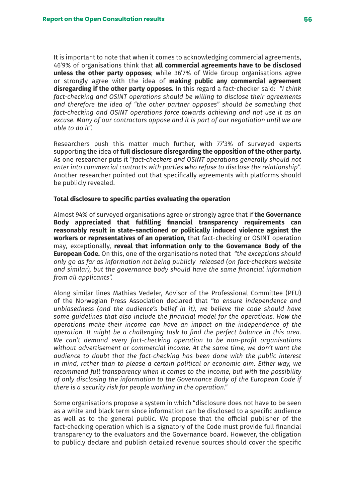It is important to note that when it comes to acknowledging commercial agreements, 46'9% of organisations think that **all commercial agreements have to be disclosed unless the other party opposes**; while 36'7% of Wide Group organisations agree or strongly agree with the idea of **making public any commercial agreement disregarding if the other party opposes.** In this regard a fact-checker said: *"I think fact-checking and OSINT operations should be willing to disclose their agreements and therefore the idea of "the other partner opposes" should be something that fact-checking and OSINT operations force towards achieving and not use it as an excuse. Many of our contractors oppose and it is part of our negotiation until we are able to do it".*

Researchers push this matter much further, with 77'3% of surveyed experts supporting the idea of **full disclosure disregarding the opposition of the other party.** As one researcher puts it *"fact-checkers and OSINT operations generally should not enter into commercial contracts with parties who refuse to disclose the relationship".* Another researcher pointed out that specifically agreements with platforms should be publicly revealed.

#### **Total disclosure to specific parties evaluating the operation**

Almost 94% of surveyed organisations agree or strongly agree that if **the Governance Body appreciated that fulfilling financial transparency requirements can reasonably result in state-sanctioned or politically induced violence against the workers or representatives of an operation,** that fact-checking or OSINT operation may, exceptionally, **reveal that information only to the Governance Body of the European Code.** On this, one of the organisations noted that *"the exceptions should only go as far as information not being publicly released (on fact-checkers website and similar), but the governance body should have the same financial information from all applicants".*

Along similar lines Mathias Vedeler, Advisor of the Professional Committee (PFU) of the Norwegian Press Association declared that *"to ensure independence and unbiasedness (and the audience's belief in it), we believe the code should have some guidelines that also include the financial model for the operations. How the operations make their income can have an impact on the independence of the operation. It might be a challenging task to find the perfect balance in this area. We can't demand every fact-checking operation to be non-profit organisations without advertisement or commercial income. At the same time, we don't want the audience to doubt that the fact-checking has been done with the public interest in mind, rather than to please a certain political or economic aim. Either way, we recommend full transparency when it comes to the income, but with the possibility of only disclosing the information to the Governance Body of the European Code if there is a security risk for people working in the operation."*

Some organisations propose a system in which "disclosure does not have to be seen as a white and black term since information can be disclosed to a specific audience as well as to the general public. We propose that the official publisher of the fact-checking operation which is a signatory of the Code must provide full financial transparency to the evaluators and the Governance board. However, the obligation to publicly declare and publish detailed revenue sources should cover the specific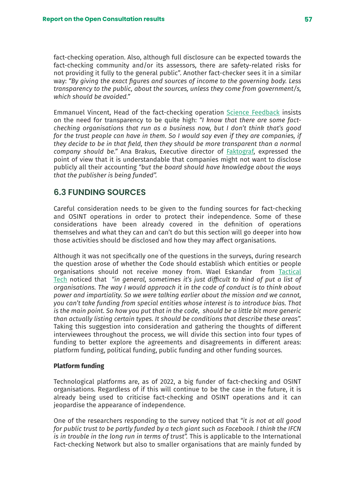fact-checking operation. Also, although full disclosure can be expected towards the fact-checking community and/or its assessors, there are safety-related risks for not providing it fully to the general public". Another fact-checker sees it in a similar way: *"By giving the exact figures and sources of income to the governing body. Less transparency to the public, about the sources, unless they come from government/s, which should be avoided."* 

Emmanuel Vincent, Head of the fact-checking operation [Science Feedback](https://sciencefeedback.co/) insists on the need for transparency to be quite high: *"I know that there are some factchecking organisations that run as a business now, but I don't think that's good for the trust people can have in them. So I would say even if they are companies, if they decide to be in that field, then they should be more transparent than a normal company should be."* Ana Brakus, Executive director of [Faktograf](https://faktograf.hr/), expressed the point of view that it is understandable that companies might not want to disclose publicly all their accounting *"but the board should have knowledge about the ways that the publisher is being funded".* 

## **6.3 FUNDING SOURCES**

Careful consideration needs to be given to the funding sources for fact-checking and OSINT operations in order to protect their independence. Some of these considerations have been already covered in the definition of operations themselves and what they can and can't do but this section will go deeper into how those activities should be disclosed and how they may affect organisations.

Although it was not specifically one of the questions in the surveys, during research the question arose of whether the Code should establish which entities or people organisations should not receive money from. Wael Eskandar from [Tactical](https://tacticaltech.org/) [Tech](https://tacticaltech.org/) noticed that *"in general, sometimes it's just difficult to kind of put a list of organisations. The way I would approach it in the code of conduct is to think about power and impartiality. So we were talking earlier about the mission and we cannot, you can't take funding from special entities whose interest is to introduce bias. That is the main point. So how you put that in the code, should be a little bit more generic than actually listing certain types. It should be conditions that describe these areas".* Taking this suggestion into consideration and gathering the thoughts of different interviewees throughout the process, we will divide this section into four types of funding to better explore the agreements and disagreements in different areas: platform funding, political funding, public funding and other funding sources.

#### **Platform funding**

Technological platforms are, as of 2022, a big funder of fact-checking and OSINT organisations. Regardless of if this will continue to be the case in the future, it is already being used to criticise fact-checking and OSINT operations and it can jeopardise the appearance of independence.

One of the researchers responding to the survey noticed that *"it is not at all good for public trust to be partly funded by a tech giant such as Facebook. I think the IFCN is in trouble in the long run in terms of trust".* This is applicable to the International Fact-checking Network but also to smaller organisations that are mainly funded by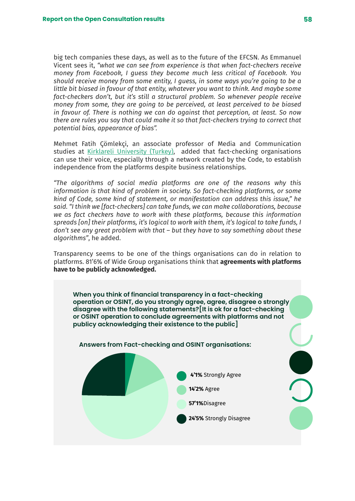big tech companies these days, as well as to the future of the EFCSN. As Emmanuel Vicent sees it, *"what we can see from experience is that when fact-checkers receive money from Facebook, I guess they become much less critical of Facebook. You should receive money from some entity, I guess, in some ways you're going to be a little bit biased in favour of that entity, whatever you want to think. And maybe some fact-checkers don't, but it's still a structural problem. So whenever people receive money from some, they are going to be perceived, at least perceived to be biased in favour of. There is nothing we can do against that perception, at least. So now there are rules you say that could make it so that fact-checkers trying to correct that potential bias, appearance of bias".* 

Mehmet Fatih Çömlekçi, an associate professor of Media and Communication studies at [Kirklareli University \(Turkey\),](https://www.klu.edu.tr/dil/en) added that fact-checking organisations can use their voice, especially through a network created by the Code, to establish independence from the platforms despite business relationships.

*"The algorithms of social media platforms are one of the reasons why this information is that kind of problem in society. So fact-checking platforms, or some kind of Code, some kind of statement, or manifestation can address this issue," he said. "I think we [fact-checkers] can take funds, we can make collaborations, because we as fact checkers have to work with these platforms, because this information spreads [on] their platforms, it's logical to work with them, it's logical to take funds, I don't see any great problem with that – but they have to say something about these algorithms"*, he added.

Transparency seems to be one of the things organisations can do in relation to platforms. 81'6% of Wide Group organisations think that **agreements with platforms have to be publicly acknowledged.** 

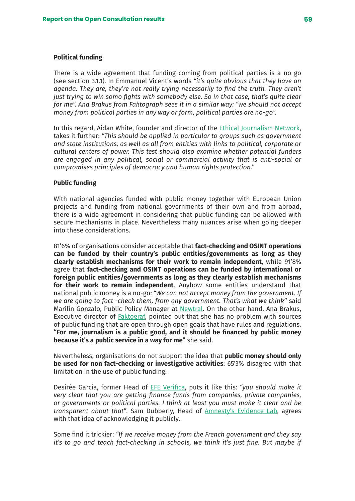#### **Political funding**

There is a wide agreement that funding coming from political parties is a no go (see section 3.1.1). In Emmanuel Vicent's words *"it's quite obvious that they have an agenda. They are, they're not really trying necessarily to find the truth. They aren't just trying to win somo fights with somebody else. So in that case, that's quite clear for me". Ana Brakus from Faktograph sees it in a similar way: "we should not accept money from political parties in any way or form, political parties are no-go".*

In this regard, Aidan White, founder and director of the [Ethical Journalism Network,](https://ethicaljournalismnetwork.org/) takes it further: *"This should be applied in particular to groups such as government and state institutions, as well as all from entities with links to political, corporate or cultural centers of power. This test should also examine whether potential funders are engaged in any political, social or commercial activity that is anti-social or compromises principles of democracy and human rights protection."*

#### **Public funding**

With national agencies funded with public money together with European Union projects and funding from national governments of their own and from abroad, there is a wide agreement in considering that public funding can be allowed with secure mechanisms in place. Nevertheless many nuances arise when going deeper into these considerations.

81'6% of organisations consider acceptable that **fact-checking and OSINT operations can be funded by their country's public entities/governments as long as they clearly establish mechanisms for their work to remain independent**, while 91'8% agree that **fact-checking and OSINT operations can be funded by international or foreign public entities/governments as long as they clearly establish mechanisms for their work to remain independent**. Anyhow some entities understand that national public money is a no-go: *"We can not accept money from the government. If we are going to fact -check them, from any government. That's what we think''* said Marilín Gonzalo, Public Policy Manager at [Newtral](https://www.newtral.es/). On the other hand, Ana Brakus, Executive director of [Faktograf](https://faktograf.hr/), pointed out that she has no problem with sources of public funding that are open through open goals that have rules and regulations. **"For me, journalism is a public good, and it should be financed by public money because it's a public service in a way for me"** she said.

Nevertheless, organisations do not support the idea that **public money should only be used for non fact-checking or investigative activities**: 65'3% disagree with that limitation in the use of public funding.

Desirée García, former Head of [EFE Verifica](https://verifica.efe.com/), puts it like this: *"you should make it very clear that you are getting finance funds from companies, private companies, or governments or political parties. I think at least you must make it clear and be transparent about that"*. Sam Dubberly, Head of A[mnesty's Evidence Lab,](https://citizenevidence.org/about-us/) agrees with that idea of acknowledging it publicly.

Some find it trickier: *"If we receive money from the French government and they say it's to go and teach fact-checking in schools, we think it's just fine. But maybe if*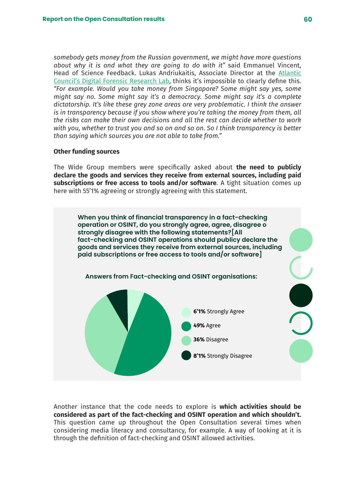*somebody gets money from the Russian government, we might have more questions about why it is and what they are going to do with it"* said Emmanuel Vincent, Head of Science Feedback. Lukas Andriukaitis, Associate Director at the [Atlantic](https://www.atlanticcouncil.org/programs/digital-forensic-research-lab/) [Council's Digital Forensic Research Lab,](https://www.atlanticcouncil.org/programs/digital-forensic-research-lab/) thinks it's impossible to clearly define this. *"For example. Would you take money from Singapore? Some might say yes, some might say no. Some might say it's a democracy. Some might say it's a complete dictatorship. It's like these grey zone areas are very problematic. I think the answer is in transparency because if you show where you're taking the money from them, all the risks can make their own decisions and all the rest can decide whether to work with you, whether to trust you and so on and so on. So I think transparency is better than saying which sources you are not able to take from."*

#### **Other funding sources**

The Wide Group members were specifically asked about **the need to publicly declare the goods and services they receive from external sources, including paid subscriptions or free access to tools and/or software**. A tight situation comes up here with 55'1% agreeing or strongly agreeing with this statement.



Another instance that the code needs to explore is **which activities should be considered as part of the fact-checking and OSINT operation and which shouldn't.** This question came up throughout the Open Consultation several times when considering media literacy and consultancy, for example. A way of looking at it is through the definition of fact-checking and OSINT allowed activities.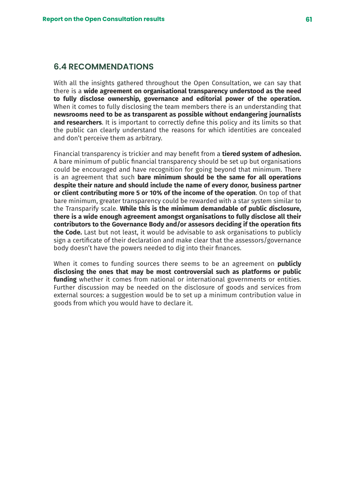## **6.4 RECOMMENDATIONS**

With all the insights gathered throughout the Open Consultation, we can say that there is a **wide agreement on organisational transparency understood as the need to fully disclose ownership, governance and editorial power of the operation.** When it comes to fully disclosing the team members there is an understanding that **newsrooms need to be as transparent as possible without endangering journalists and researchers**. It is important to correctly define this policy and its limits so that the public can clearly understand the reasons for which identities are concealed and don't perceive them as arbitrary.

Financial transparency is trickier and may benefit from a **tiered system of adhesion.** A bare minimum of public financial transparency should be set up but organisations could be encouraged and have recognition for going beyond that minimum. There is an agreement that such **bare minimum should be the same for all operations despite their nature and should include the name of every donor, business partner or client contributing more 5 or 10% of the income of the operation**. On top of that bare minimum, greater transparency could be rewarded with a star system similar to the Transparify scale. **While this is the minimum demandable of public disclosure, there is a wide enough agreement amongst organisations to fully disclose all their contributors to the Governance Body and/or assesors deciding if the operation fits the Code.** Last but not least, it would be advisable to ask organisations to publicly sign a certificate of their declaration and make clear that the assessors/governance body doesn't have the powers needed to dig into their finances.

When it comes to funding sources there seems to be an agreement on **publicly disclosing the ones that may be most controversial such as platforms or public funding** whether it comes from national or international governments or entities. Further discussion may be needed on the disclosure of goods and services from external sources: a suggestion would be to set up a minimum contribution value in goods from which you would have to declare it.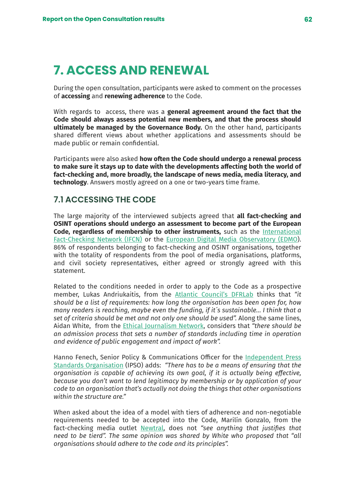# **7. ACCESS AND RENEWAL**

During the open consultation, participants were asked to comment on the processes of **accessing** and **renewing adherence** to the Code.

With regards to access, there was a **general agreement around the fact that the Code should always assess potential new members, and that the process should ultimately be managed by the Governance Body.** On the other hand, participants shared different views about whether applications and assessments should be made public or remain confidential.

Participants were also asked **how often the Code should undergo a renewal process to make sure it stays up to date with the developments affecting both the world of fact-checking and, more broadly, the landscape of news media, media literacy, and technology**. Answers mostly agreed on a one or two-years time frame.

## **7.1 ACCESSING THE CODE**

The large majority of the interviewed subjects agreed that **all fact-checking and OSINT operations should undergo an assessment to become part of the European Code, regardless of membership to other instruments,** such as the [International](https://www.poynter.org/ifcn/) [Fact-Checking Network \(IFCN\)](https://www.poynter.org/ifcn/) or the [European Digital Media Observatory \(EDMO](https://edmo.eu/)). 86% of respondents belonging to fact-checking and OSINT organisations, together with the totality of respondents from the pool of media organisations, platforms, and civil society representatives, either agreed or strongly agreed with this statement.

Related to the conditions needed in order to apply to the Code as a prospective member, Lukas Andriukaitis, from the [Atlantic Council's DFRLab](https://www.atlanticcouncil.org/programs/digital-forensic-research-lab/) thinks that *"it should be a list of requirements: how long the organisation has been open for, how many readers is reaching, maybe even the funding, if it´s sustainable… I think that a set of criteria should be met and not only one should be used".* Along the same lines, Aidan White, from the [Ethical Journalism Network](https://ethicaljournalismnetwork.org/), considers that *"there should be an admission process that sets a number of standards including time in operation and evidence of public engagement and impact of work".*

Hanno Fenech, Senior Policy & Communications Officer for the [Independent Press](https://www.ipso.co.uk/) [Standards Organisation](https://www.ipso.co.uk/) (IPSO) adds: *"There has to be a means of ensuring that the organisation is capable of achieving its own goal, if it is actually being effective, because you don't want to lend legitimacy by membership or by application of your code to an organisation that's actually not doing the things that other organisations within the structure are."*

When asked about the idea of a model with tiers of adherence and non-negotiable requirements needed to be accepted into the Code, Marilín Gonzalo, from the fact-checking media outlet [Newtral](https://www.newtral.es/), does not *"see anything that justifies that need to be tierd". The same opinion was shared by White who proposed that "all organisations should adhere to the code and its principles".*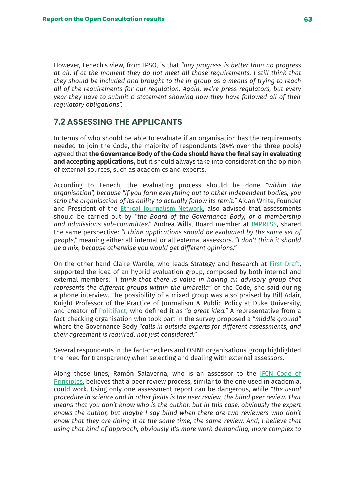However, Fenech's view, from IPSO, is that *"any progress is better than no progress at all. If at the moment they do not meet all those requirements, I still think that they should be included and brought to the in-group as a means of trying to reach all of the requirements for our regulation. Again, we're press regulators, but every year they have to submit a statement showing how they have followed all of their regulatory obligations".*

## **7.2 ASSESSING THE APPLICANTS**

In terms of who should be able to evaluate if an organisation has the requirements needed to join the Code, the majority of respondents (84% over the three pools) agreed that **the Governance Body of the Code should have the final say in evaluating and accepting applications,** but it should always take into consideration the opinion of external sources, such as academics and experts.

According to Fenech, the evaluating process should be done *"within the organisation", because "if you farm everything out to other independent bodies, you strip the organisation of its ability to actually follow its remit."* Aidan White, Founder and President of the [Ethical Journalism Network](https://ethicaljournalismnetwork.org/), also advised that assessments should be carried out by *"the Board of the Governance Body, or a membership and admissions sub-committee."* Andrea Wills, Board member at [IMPRESS](https://impress.press/), shared the same perspective: *"I think applications should be evaluated by the same set of people,"* meaning either all internal or all external assessors. *"I don't think it should be a mix, because otherwise you would get different opinions."*

On the other hand Claire Wardle, who leads Strategy and Research at [First Draft,](https://firstdraftnews.org/) supported the idea of an hybrid evaluation group, composed by both internal and external members: *"I think that there is value in having an advisory group that represents the different groups within the umbrella"* of the Code, she said during a phone interview. The possibility of a mixed group was also praised by Bill Adair, Knight Professor of the Practice of Journalism & Public Policy at Duke University, and creator of [PolitiFact,](https://www.politifact.com/) who defined it as *"a great idea."* A representative from a fact-checking organisation who took part in the survey proposed a *"middle ground"*  where the Governance Body *"calls in outside experts for different assessments, and their agreement is required, not just considered."*

Several respondents in the fact-checkers and OSINT organisations' group highlighted the need for transparency when selecting and dealing with external assessors.

Along these lines, Ramón Salaverría, who is an assessor to the **IFCN** Code of [Principles,](https://ifcncodeofprinciples.poynter.org/know-more) believes that a peer review process, similar to the one used in academia, could work. Using only one assessment report can be dangerous, while *"the usual procedure in science and in other fields is the peer review, the blind peer review. That means that you don't know who is the author, but in this case, obviously the expert knows the author, but maybe I say blind when there are two reviewers who don't know that they are doing it at the same time, the same review. And, I believe that using that kind of approach, obviously it's more work demanding, more complex to*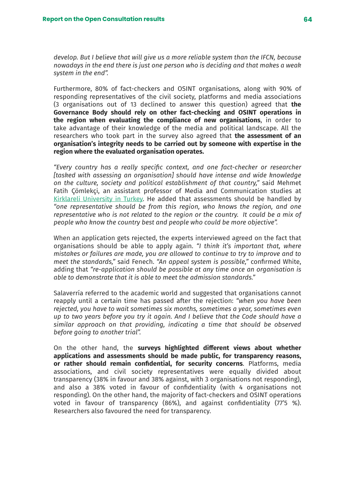*develop. But I believe that will give us a more reliable system than the IFCN, because nowadays in the end there is just one person who is deciding and that makes a weak system in the end".* 

Furthermore, 80% of fact-checkers and OSINT organisations, along with 90% of responding representatives of the civil society, platforms and media associations (3 organisations out of 13 declined to answer this question) agreed that **the Governance Body should rely on other fact-checking and OSINT operations in the region when evaluating the compliance of new organisations**, in order to take advantage of their knowledge of the media and political landscape. All the researchers who took part in the survey also agreed that **the assessment of an organisation's integrity needs to be carried out by someone with expertise in the region where the evaluated organisation operates.**

*"Every country has a really specific context, and one fact-checker or researcher [tasked with assessing an organisation] should have intense and wide knowledge on the culture, society and political establishment of that country,"* said Mehmet Fatih Çömlekçi, an assistant professor of Media and Communication studies at [Kirklareli University in Turkey](https://www.klu.edu.tr/dil/en). He added that assessments should be handled by *"one representative should be from this region, who knows the region, and one representative who is not related to the region or the country. It could be a mix of people who know the country best and people who could be more objective".* 

When an application gets rejected, the experts interviewed agreed on the fact that organisations should be able to apply again. *"I think it's important that, where mistakes or failures are made, you are allowed to continue to try to improve and to meet the standards,"* said Fenech. *"An appeal system is possible,"* confirmed White, adding that *"re-application should be possible at any time once an organisation is able to demonstrate that it is able to meet the admission standards."*

Salaverría referred to the academic world and suggested that organisations cannot reapply until a certain time has passed after the rejection: *"when you have been rejected, you have to wait sometimes six months, sometimes a year, sometimes even up to two years before you try it again. And I believe that the Code should have a similar approach on that providing, indicating a time that should be observed before going to another trial".*

On the other hand, the **surveys highlighted different views about whether applications and assessments should be made public, for transparency reasons, or rather should remain confidential, for security concerns**. Platforms, media associations, and civil society representatives were equally divided about transparency (38% in favour and 38% against, with 3 organisations not responding), and also a 38% voted in favour of confidentiality (with 4 organisations not responding). On the other hand, the majority of fact-checkers and OSINT operations voted in favour of transparency (86%), and against confidentiality (77'5 %). Researchers also favoured the need for transparency.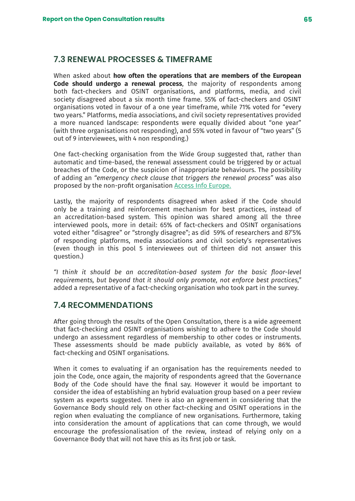## **7.3 RENEWAL PROCESSES & TIMEFRAME**

When asked about **how often the operations that are members of the European Code should undergo a renewal process**, the majority of respondents among both fact-checkers and OSINT organisations, and platforms, media, and civil society disagreed about a six month time frame. 55% of fact-checkers and OSINT organisations voted in favour of a one year timeframe, while 71% voted for "every two years." Platforms, media associations, and civil society representatives provided a more nuanced landscape: respondents were equally divided about "one year" (with three organisations not responding), and 55% voted in favour of "two years" (5 out of 9 interviewees, with 4 non responding.)

One fact-checking organisation from the Wide Group suggested that, rather than automatic and time-based, the renewal assessment could be triggered by or actual breaches of the Code, or the suspicion of inappropriate behaviours. The possibility of adding an *"emergency check clause that triggers the renewal process"* was also proposed by the non-profit organisation [Access Info Europe.](https://www.access-info.org/#)

Lastly, the majority of respondents disagreed when asked if the Code should only be a training and reinforcement mechanism for best practices, instead of an accreditation-based system. This opinion was shared among all the three interviewed pools, more in detail: 65% of fact-checkers and OSINT organisations voted either "disagree" or "strongly disagree"; as did 59% of researchers and 87'5% of responding platforms, media associations and civil society's representatives (even though in this pool 5 interviewees out of thirteen did not answer this question.)

*"I think it should be an accreditation-based system for the basic floor-level requirements, but beyond that it should only promote, not enforce best practices,"* added a representative of a fact-checking organisation who took part in the survey.

## **7.4 RECOMMENDATIONS**

After going through the results of the Open Consultation, there is a wide agreement that fact-checking and OSINT organisations wishing to adhere to the Code should undergo an assessment regardless of membership to other codes or instruments. These assessments should be made publicly available, as voted by 86% of fact-checking and OSINT organisations.

When it comes to evaluating if an organisation has the requirements needed to join the Code, once again, the majority of respondents agreed that the Governance Body of the Code should have the final say. However it would be important to consider the idea of establishing an hybrid evaluation group based on a peer review system as experts suggested. There is also an agreement in considering that the Governance Body should rely on other fact-checking and OSINT operations in the region when evaluating the compliance of new organisations. Furthermore, taking into consideration the amount of applications that can come through, we would encourage the professionalisation of the review, instead of relying only on a Governance Body that will not have this as its first job or task.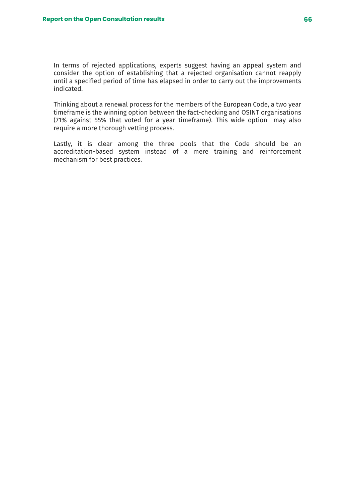In terms of rejected applications, experts suggest having an appeal system and consider the option of establishing that a rejected organisation cannot reapply until a specified period of time has elapsed in order to carry out the improvements indicated.

Thinking about a renewal process for the members of the European Code, a two year timeframe is the winning option between the fact-checking and OSINT organisations (71% against 55% that voted for a year timeframe). This wide option may also require a more thorough vetting process.

Lastly, it is clear among the three pools that the Code should be an accreditation-based system instead of a mere training and reinforcement mechanism for best practices.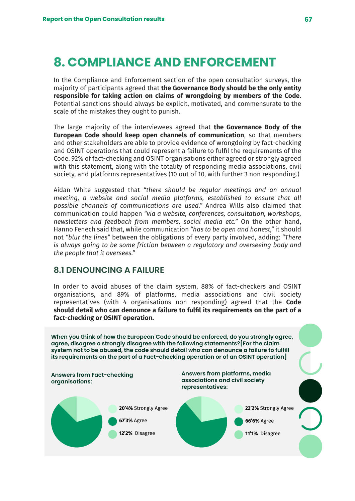# **8. COMPLIANCE AND ENFORCEMENT**

In the Compliance and Enforcement section of the open consultation surveys, the majority of participants agreed that **the Governance Body should be the only entity responsible for taking action on claims of wrongdoing by members of the Code**. Potential sanctions should always be explicit, motivated, and commensurate to the scale of the mistakes they ought to punish.

The large majority of the interviewees agreed that **the Governance Body of the European Code should keep open channels of communication**, so that members and other stakeholders are able to provide evidence of wrongdoing by fact-checking and OSINT operations that could represent a failure to fulfil the requirements of the Code. 92% of fact-checking and OSINT organisations either agreed or strongly agreed with this statement, along with the totality of responding media associations, civil society, and platforms representatives (10 out of 10, with further 3 non responding.)

Aidan White suggested that *"there should be regular meetings and an annual meeting, a website and social media platforms, established to ensure that all possible channels of communications are used."* Andrea Wills also claimed that communication could happen *"via a website, conferences, consultation, workshops, newsletters and feedback from members, social media etc."* On the other hand, Hanno Fenech said that, while communication *"has to be open and honest,"* it should not *"blur the lines"* between the obligations of every party involved, adding: *"There is always going to be some friction between a regulatory and overseeing body and the people that it oversees."*

## **8.1 DENOUNCING A FAILURE**

In order to avoid abuses of the claim system, 88% of fact-checkers and OSINT organisations, and 89% of platforms, media associations and civil society representatives (with 4 organisations non responding) agreed that the **Code should detail who can denounce a failure to fulfil its requirements on the part of a fact-checking or OSINT operation.**

**When you think of how the European Code should be enforced, do you strongly agree, agree, disagree o strongly disagree with the following statements?[For the claim system not to be abused, the code should detail who can denounce a failure to fulfill its requirements on the part of a Fact-checking operation or of an OSINT operation] Answers from Fact-checking organisations: Answers from platforms, media associations and civil society representatives:**

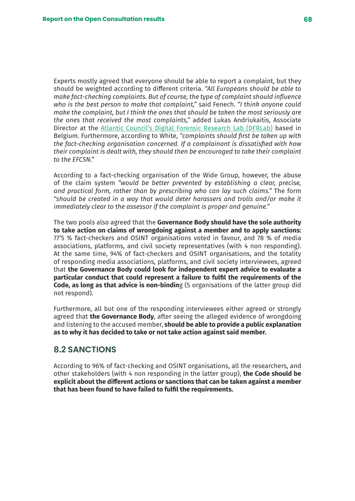Experts mostly agreed that everyone should be able to report a complaint, but they should be weighted according to different criteria. *"All Europeans should be able to make fact-checking complaints. But of course, the type of complaint should influence who is the best person to make that complaint,"* said Fenech. *"I think anyone could make the complaint, but I think the ones that should be taken the most seriously are the ones that received the most complaints,"* added Lukas Andriukaitis, Associate Director at the [Atlantic Council's Digital Forensic Research Lab \(DFRLab\)](https://www.atlanticcouncil.org/programs/digital-forensic-research-lab/) based in Belgium. Furthermore, according to White, *"complaints should first be taken up with the fact-checking organisation concerned. If a complainant is dissatisfied with how their complaint is dealt with, they should then be encouraged to take their complaint to the EFCSN."*

According to a fact-checking organisation of the Wide Group, however, the abuse of the claim system *"would be better prevented by establishing a clear, precise, and practical form, rather than by prescribing who can lay such claims."* The form *"should be created in a way that would deter harassers and trolls and/or make it immediately clear to the assessor if the complaint is proper and genuine."*

The two pools also agreed that the **Governance Body should have the sole authority to take action on claims of wrongdoing against a member and to apply sanctions:** 77'5 % fact-checkers and OSINT organisations voted in favour, and 78 % of media associations, platforms, and civil society representatives (with 4 non responding). At the same time, 94% of fact-checkers and OSINT organisations, and the totality of responding media associations, platforms, and civil society interviewees, agreed that **the Governance Body could look for independent expert advice to evaluate a particular conduct that could represent a failure to fulfil the requirements of the Code, as long as that advice is non-bindin**g (5 organisations of the latter group did not respond).

Furthermore, all but one of the responding interviewees either agreed or strongly agreed that **the Governance Body**, after seeing the alleged evidence of wrongdoing and listening to the accused member, **should be able to provide a public explanation as to why it has decided to take or not take action against said member.**

### **8.2 SANCTIONS**

According to 96% of fact-checking and OSINT organisations, all the researchers, and other stakeholders (with 4 non responding in the latter group), **the Code should be explicit about the different actions or sanctions that can be taken against a member that has been found to have failed to fulfil the requirements.**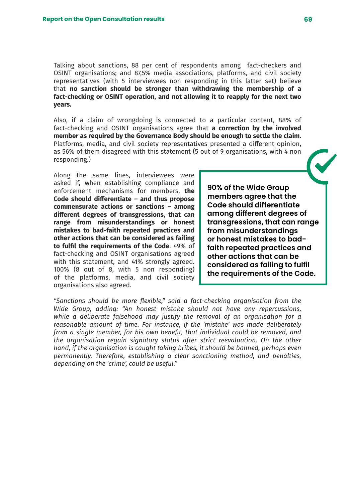Talking about sanctions, 88 per cent of respondents among fact-checkers and OSINT organisations; and 87,5% media associations, platforms, and civil society representatives (with 5 interviewees non responding in this latter set) believe that **no sanction should be stronger than withdrawing the membership of a fact-checking or OSINT operation, and not allowing it to reapply for the next two years.** 

Also, if a claim of wrongdoing is connected to a particular content, 88% of fact-checking and OSINT organisations agree that **a correction by the involved member as required by the Governance Body should be enough to settle the claim.**  Platforms, media, and civil society representatives presented a different opinion, as 56% of them disagreed with this statement (5 out of 9 organisations, with 4 non responding.)

Along the same lines, interviewees were asked if, when establishing compliance and enforcement mechanisms for members, **the Code should differentiate – and thus propose commensurate actions or sanctions – among different degrees of transgressions, that can range from misunderstandings or honest mistakes to bad-faith repeated practices and other actions that can be considered as failing to fulfil the requirements of the Code**. 49% of fact-checking and OSINT organisations agreed with this statement, and 41% strongly agreed. 100% (8 out of 8, with 5 non responding) of the platforms, media, and civil society organisations also agreed.

**90% of the Wide Group members agree that the Code should differentiate among different degrees of transgressions, that can range from misunderstandings or honest mistakes to badfaith repeated practices and other actions that can be considered as failing to fulfil the requirements of the Code.**

*"Sanctions should be more flexible," said a fact-checking organisation from the Wide Group, adding: "An honest mistake should not have any repercussions, while a deliberate falsehood may justify the removal of an organisation for a reasonable amount of time. For instance, if the 'mistake' was made deliberately from a single member, for his own benefit, that individual could be removed, and the organisation regain signatory status after strict reevaluation. On the other hand, if the organisation is caught taking bribes, it should be banned, perhaps even permanently. Therefore, establishing a clear sanctioning method, and penalties, depending on the 'crime', could be useful."*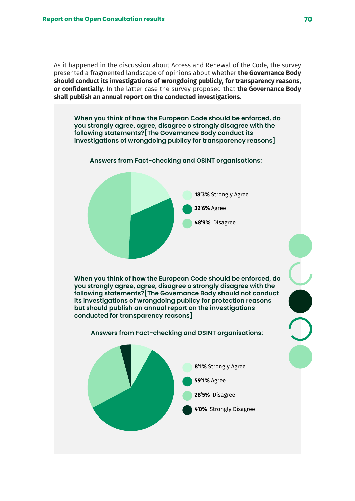As it happened in the discussion about Access and Renewal of the Code, the survey presented a fragmented landscape of opinions about whether **the Governance Body should conduct its investigations of wrongdoing publicly, for transparency reasons, or confidentially**. In the latter case the survey proposed that **the Governance Body shall publish an annual report on the conducted investigations.**

**When you think of how the European Code should be enforced, do you strongly agree, agree, disagree o strongly disagree with the following statements?[The Governance Body conduct its investigations of wrongdoing publicy for transparency reasons]**

#### **Answers from Fact-checking and OSINT organisations:**



**When you think of how the European Code should be enforced, do you strongly agree, agree, disagree o strongly disagree with the following statements?[The Governance Body should not conduct its investigations of wrongdoing publicy for protection reasons but should publish an annual report on the investigations conducted for transparency reasons]**

#### **Answers from Fact-checking and OSINT organisations:**

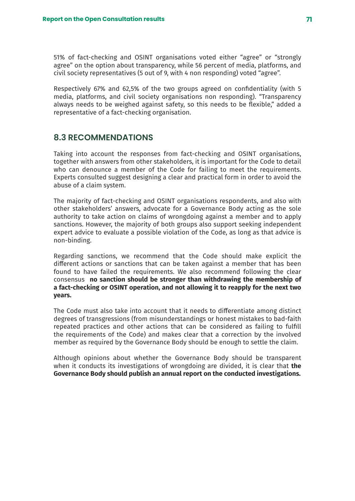51% of fact-checking and OSINT organisations voted either "agree" or "strongly agree" on the option about transparency, while 56 percent of media, platforms, and civil society representatives (5 out of 9, with 4 non responding) voted "agree".

Respectively 67% and 62,5% of the two groups agreed on confidentiality (with 5 media, platforms, and civil society organisations non responding). "Transparency always needs to be weighed against safety, so this needs to be flexible," added a representative of a fact-checking organisation.

## **8.3 RECOMMENDATIONS**

Taking into account the responses from fact-checking and OSINT organisations, together with answers from other stakeholders, it is important for the Code to detail who can denounce a member of the Code for failing to meet the requirements. Experts consulted suggest designing a clear and practical form in order to avoid the abuse of a claim system.

The majority of fact-checking and OSINT organisations respondents, and also with other stakeholders' answers, advocate for a Governance Body acting as the sole authority to take action on claims of wrongdoing against a member and to apply sanctions. However, the majority of both groups also support seeking independent expert advice to evaluate a possible violation of the Code, as long as that advice is non-binding.

Regarding sanctions, we recommend that the Code should make explicit the different actions or sanctions that can be taken against a member that has been found to have failed the requirements. We also recommend following the clear consensus **no sanction should be stronger than withdrawing the membership of a fact-checking or OSINT operation, and not allowing it to reapply for the next two years.** 

The Code must also take into account that it needs to differentiate among distinct degrees of transgressions (from misunderstandings or honest mistakes to bad-faith repeated practices and other actions that can be considered as failing to fulfill the requirements of the Code) and makes clear that a correction by the involved member as required by the Governance Body should be enough to settle the claim.

Although opinions about whether the Governance Body should be transparent when it conducts its investigations of wrongdoing are divided, it is clear that **the Governance Body should publish an annual report on the conducted investigations.**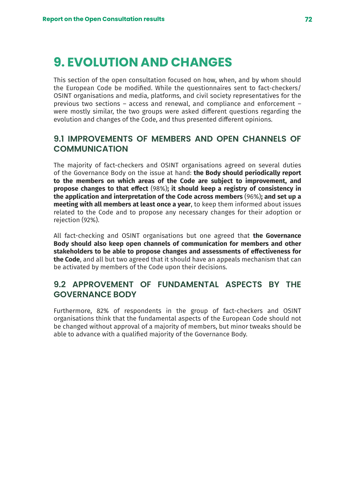# **9. EVOLUTION AND CHANGES**

This section of the open consultation focused on how, when, and by whom should the European Code be modified. While the questionnaires sent to fact-checkers/ OSINT organisations and media, platforms, and civil society representatives for the previous two sections – access and renewal, and compliance and enforcement – were mostly similar, the two groups were asked different questions regarding the evolution and changes of the Code, and thus presented different opinions.

# **9.1 IMPROVEMENTS OF MEMBERS AND OPEN CHANNELS OF COMMUNICATION**

The majority of fact-checkers and OSINT organisations agreed on several duties of the Governance Body on the issue at hand: **the Body should periodically report to the members on which areas of the Code are subject to improvement, and propose changes to that effect** (98%)**; it should keep a registry of consistency in the application and interpretation of the Code across members** (96%)**; and set up a meeting with all members at least once a year**, to keep them informed about issues related to the Code and to propose any necessary changes for their adoption or rejection (92%).

All fact-checking and OSINT organisations but one agreed that **the Governance Body should also keep open channels of communication for members and other stakeholders to be able to propose changes and assessments of effectiveness for the Code**, and all but two agreed that it should have an appeals mechanism that can be activated by members of the Code upon their decisions.

# **9.2 APPROVEMENT OF FUNDAMENTAL ASPECTS BY THE GOVERNANCE BODY**

Furthermore, 82% of respondents in the group of fact-checkers and OSINT organisations think that the fundamental aspects of the European Code should not be changed without approval of a majority of members, but minor tweaks should be able to advance with a qualified majority of the Governance Body.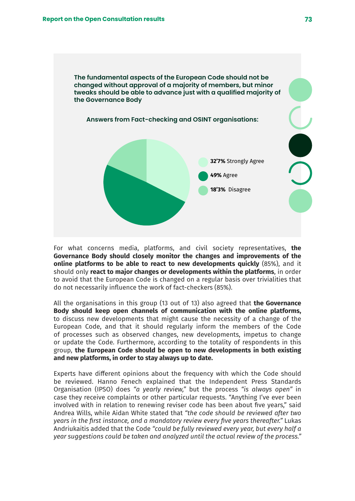

For what concerns media, platforms, and civil society representatives, **the Governance Body should closely monitor the changes and improvements of the online platforms to be able to react to new developments quickly** (85%), and it should only **react to major changes or developments within the platforms**, in order to avoid that the European Code is changed on a regular basis over trivialities that do not necessarily influence the work of fact-checkers (85%).

All the organisations in this group (13 out of 13) also agreed that **the Governance Body should keep open channels of communication with the online platforms,** to discuss new developments that might cause the necessity of a change of the European Code, and that it should regularly inform the members of the Code of processes such as observed changes, new developments, impetus to change or update the Code. Furthermore, according to the totality of respondents in this group, **the European Code should be open to new developments in both existing and new platforms, in order to stay always up to date.**

Experts have different opinions about the frequency with which the Code should be reviewed. Hanno Fenech explained that the Independent Press Standards Organisation (IPSO) does *"a yearly review,"* but the process *"is always open"* in case they receive complaints or other particular requests. "Anything I've ever been involved with in relation to renewing reviser code has been about five years," said Andrea Wills, while Aidan White stated that *"the code should be reviewed after two years in the first instance, and a mandatory review every five years thereafter."* Lukas Andriukaitis added that the Code *"could be fully reviewed every year, but every half a year suggestions could be taken and analyzed until the actual review of the process."*